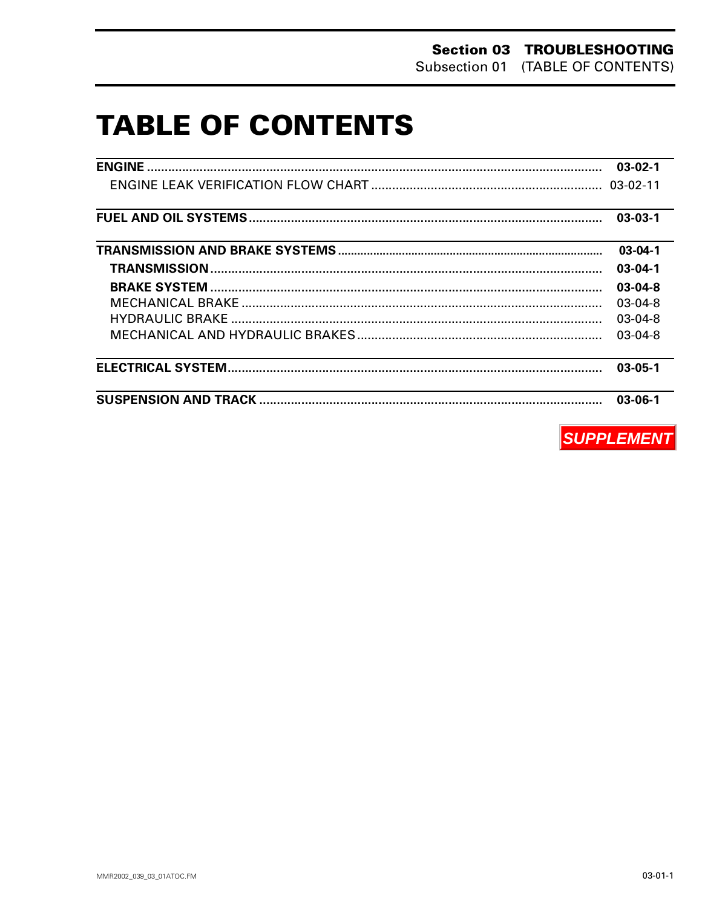# **TABLE OF CONTENTS**

| ,我们也不会有一个人的事情。""我们的人们,我们也不会有一个人的人,我们也不会有一个人的人,我们也不会有一个人的人,我们也不会有一个人的人,我们也不会有一个人的<br>第一百一十一章 我们的人,我们的人们的人们,我们的人们的人们的人们,我们的人们的人们的人们,我们的人们的人们,我们的人们的人们,我们的人们的人们,我们的人们的人 |               |
|----------------------------------------------------------------------------------------------------------------------------------------------------------------------|---------------|
|                                                                                                                                                                      |               |
|                                                                                                                                                                      | $03-03-1$     |
| <u> 1989 - Johann Stoff, amerikansk politiker (d. 1989)</u>                                                                                                          | $03-04-1$     |
|                                                                                                                                                                      | $03 - 04 - 1$ |
|                                                                                                                                                                      | $03-04-8$     |
|                                                                                                                                                                      | $03-04-8$     |
|                                                                                                                                                                      | $03-04-8$     |
|                                                                                                                                                                      | $03-04-8$     |
|                                                                                                                                                                      | $03 - 05 - 1$ |
|                                                                                                                                                                      | $03 - 06 - 1$ |

**SUPPLEMENT**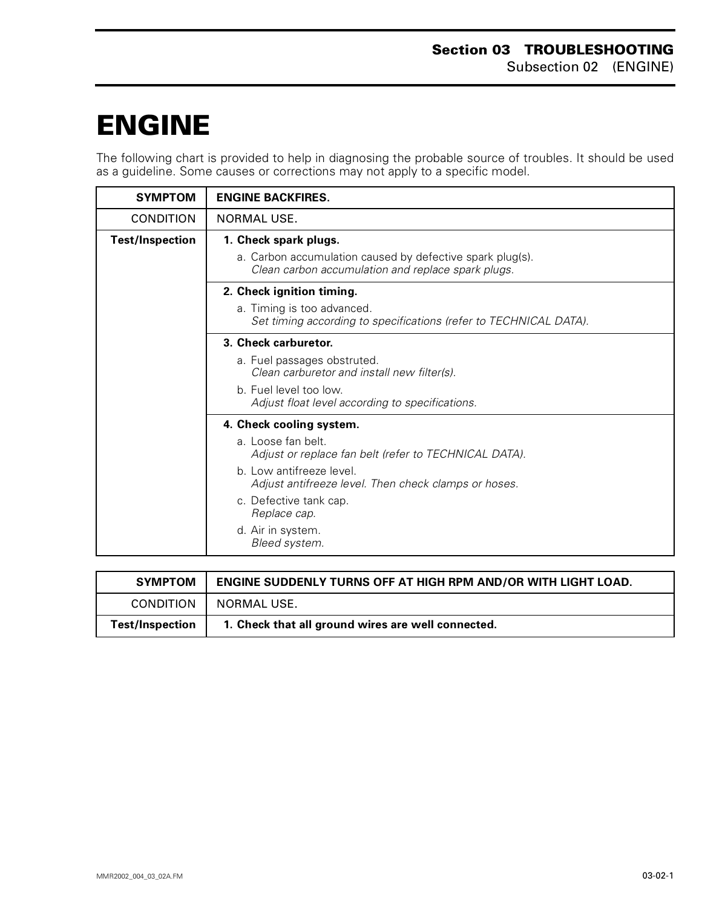# <span id="page-1-0"></span>**ENGINE 0**

The following chart is provided to help in diagnosing the probable source of troubles. It should be used as a guideline. Some causes or corrections may not apply to a specific model.

| <b>SYMPTOM</b>         | <b>ENGINE BACKFIRES.</b>                                                                                        |
|------------------------|-----------------------------------------------------------------------------------------------------------------|
| <b>CONDITION</b>       | NORMAL USE.                                                                                                     |
| <b>Test/Inspection</b> | 1. Check spark plugs.                                                                                           |
|                        | a. Carbon accumulation caused by defective spark plug(s).<br>Clean carbon accumulation and replace spark plugs. |
|                        | 2. Check ignition timing.                                                                                       |
|                        | a. Timing is too advanced.<br>Set timing according to specifications (refer to TECHNICAL DATA).                 |
|                        | 3. Check carburetor.                                                                                            |
|                        | a. Fuel passages obstruted.<br>Clean carburetor and install new filter(s).                                      |
|                        | b. Fuel level too low.<br>Adjust float level according to specifications.                                       |
|                        | 4. Check cooling system.                                                                                        |
|                        | a. Loose fan belt.<br>Adjust or replace fan belt (refer to TECHNICAL DATA).                                     |
|                        | b. Low antifreeze level.<br>Adjust antifreeze level. Then check clamps or hoses.                                |
|                        | c. Defective tank cap.<br>Replace cap.                                                                          |
|                        | d. Air in system.<br>Bleed system.                                                                              |

| <b>SYMPTOM</b>         | ENGINE SUDDENLY TURNS OFF AT HIGH RPM AND/OR WITH LIGHT LOAD. |
|------------------------|---------------------------------------------------------------|
| <b>CONDITION</b>       | NORMAL USE.                                                   |
| <b>Test/Inspection</b> | 1. Check that all ground wires are well connected.            |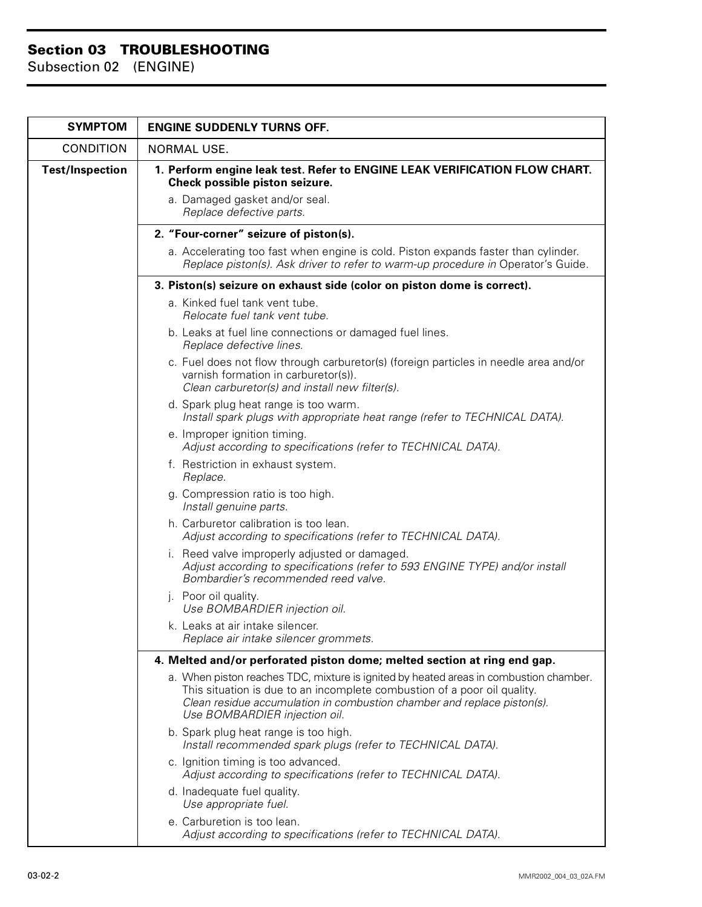| <b>SYMPTOM</b>         | <b>ENGINE SUDDENLY TURNS OFF.</b>                                                                                                                                                                                                                                             |
|------------------------|-------------------------------------------------------------------------------------------------------------------------------------------------------------------------------------------------------------------------------------------------------------------------------|
| <b>CONDITION</b>       | <b>NORMAL USE.</b>                                                                                                                                                                                                                                                            |
| <b>Test/Inspection</b> | 1. Perform engine leak test. Refer to ENGINE LEAK VERIFICATION FLOW CHART.<br>Check possible piston seizure.<br>a. Damaged gasket and/or seal.                                                                                                                                |
|                        | Replace defective parts.                                                                                                                                                                                                                                                      |
|                        | 2. "Four-corner" seizure of piston(s).                                                                                                                                                                                                                                        |
|                        | a. Accelerating too fast when engine is cold. Piston expands faster than cylinder.<br>Replace piston(s). Ask driver to refer to warm-up procedure in Operator's Guide.                                                                                                        |
|                        | 3. Piston(s) seizure on exhaust side (color on piston dome is correct).                                                                                                                                                                                                       |
|                        | a. Kinked fuel tank vent tube.<br>Relocate fuel tank vent tube.                                                                                                                                                                                                               |
|                        | b. Leaks at fuel line connections or damaged fuel lines.<br>Replace defective lines.                                                                                                                                                                                          |
|                        | c. Fuel does not flow through carburetor(s) (foreign particles in needle area and/or<br>varnish formation in carburetor(s)).<br>Clean carburetor(s) and install new filter(s).                                                                                                |
|                        | d. Spark plug heat range is too warm.<br>Install spark plugs with appropriate heat range (refer to TECHNICAL DATA).                                                                                                                                                           |
|                        | e. Improper ignition timing.<br>Adjust according to specifications (refer to TECHNICAL DATA).                                                                                                                                                                                 |
|                        | f. Restriction in exhaust system.<br>Replace.                                                                                                                                                                                                                                 |
|                        | g. Compression ratio is too high.<br>Install genuine parts.                                                                                                                                                                                                                   |
|                        | h. Carburetor calibration is too lean.<br>Adjust according to specifications (refer to TECHNICAL DATA).                                                                                                                                                                       |
|                        | i. Reed valve improperly adjusted or damaged.<br>Adjust according to specifications (refer to 593 ENGINE TYPE) and/or install<br>Bombardier's recommended reed valve.                                                                                                         |
|                        | j. Poor oil quality.<br>Use BOMBARDIER injection oil.                                                                                                                                                                                                                         |
|                        | k. Leaks at air intake silencer.<br>Replace air intake silencer grommets.                                                                                                                                                                                                     |
|                        | 4. Melted and/or perforated piston dome; melted section at ring end gap.                                                                                                                                                                                                      |
|                        | a. When piston reaches TDC, mixture is ignited by heated areas in combustion chamber.<br>This situation is due to an incomplete combustion of a poor oil quality.<br>Clean residue accumulation in combustion chamber and replace piston(s).<br>Use BOMBARDIER injection oil. |
|                        | b. Spark plug heat range is too high.<br>Install recommended spark plugs (refer to TECHNICAL DATA).                                                                                                                                                                           |
|                        | c. Ignition timing is too advanced.<br>Adjust according to specifications (refer to TECHNICAL DATA).                                                                                                                                                                          |
|                        | d. Inadequate fuel quality.<br>Use appropriate fuel.                                                                                                                                                                                                                          |
|                        | e. Carburetion is too lean.<br>Adjust according to specifications (refer to TECHNICAL DATA).                                                                                                                                                                                  |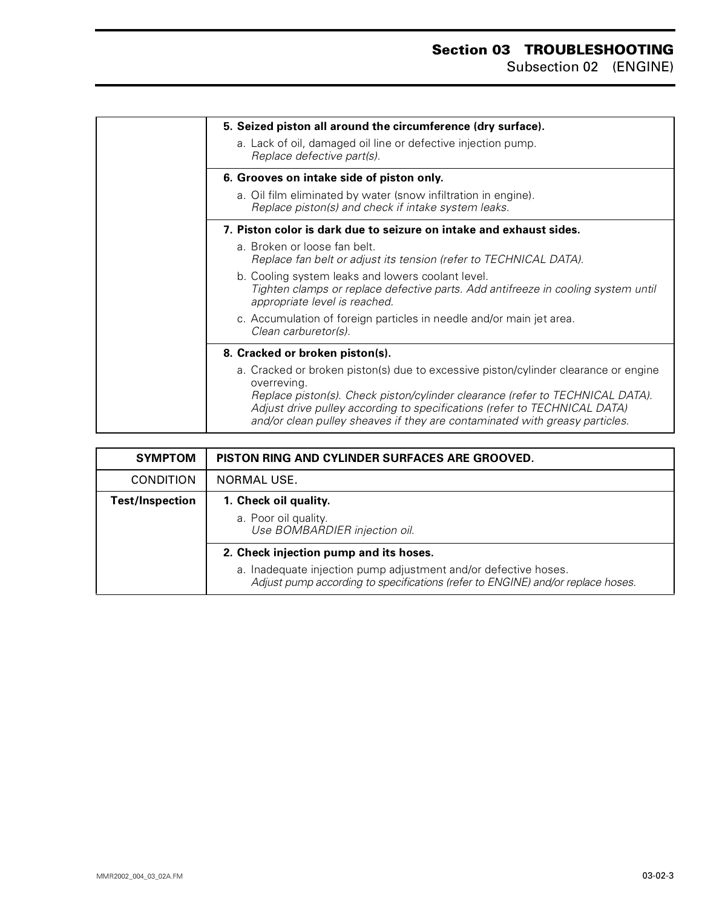<span id="page-3-0"></span>

| 5. Seized piston all around the circumference (dry surface).                                                                                                                                                                                                                                                                                    |
|-------------------------------------------------------------------------------------------------------------------------------------------------------------------------------------------------------------------------------------------------------------------------------------------------------------------------------------------------|
| a. Lack of oil, damaged oil line or defective injection pump.<br>Replace defective part(s).                                                                                                                                                                                                                                                     |
| 6. Grooves on intake side of piston only.                                                                                                                                                                                                                                                                                                       |
| a. Oil film eliminated by water (snow infiltration in engine).<br>Replace piston(s) and check if intake system leaks.                                                                                                                                                                                                                           |
| 7. Piston color is dark due to seizure on intake and exhaust sides.                                                                                                                                                                                                                                                                             |
| a. Broken or loose fan belt.<br>Replace fan belt or adjust its tension (refer to TECHNICAL DATA).                                                                                                                                                                                                                                               |
| b. Cooling system leaks and lowers coolant level.<br>Tighten clamps or replace defective parts. Add antifreeze in cooling system until<br>appropriate level is reached.                                                                                                                                                                         |
| c. Accumulation of foreign particles in needle and/or main jet area.<br>Clean carburetor(s).                                                                                                                                                                                                                                                    |
| 8. Cracked or broken piston(s).                                                                                                                                                                                                                                                                                                                 |
| a. Cracked or broken piston(s) due to excessive piston/cylinder clearance or engine<br>overreving.<br>Replace piston(s). Check piston/cylinder clearance (refer to TECHNICAL DATA).<br>Adjust drive pulley according to specifications (refer to TECHNICAL DATA)<br>and/or clean pulley sheaves if they are contaminated with greasy particles. |

| <b>SYMPTOM</b>         | PISTON RING AND CYLINDER SURFACES ARE GROOVED.                                                                                                                                               |
|------------------------|----------------------------------------------------------------------------------------------------------------------------------------------------------------------------------------------|
| <b>CONDITION</b>       | NORMAL USE.                                                                                                                                                                                  |
| <b>Test/Inspection</b> | 1. Check oil quality.<br>a. Poor oil quality.<br>Use BOMBARDIER injection oil.                                                                                                               |
|                        | 2. Check injection pump and its hoses.<br>a. Inadequate injection pump adjustment and/or defective hoses.<br>Adjust pump according to specifications (refer to ENGINE) and/or replace hoses. |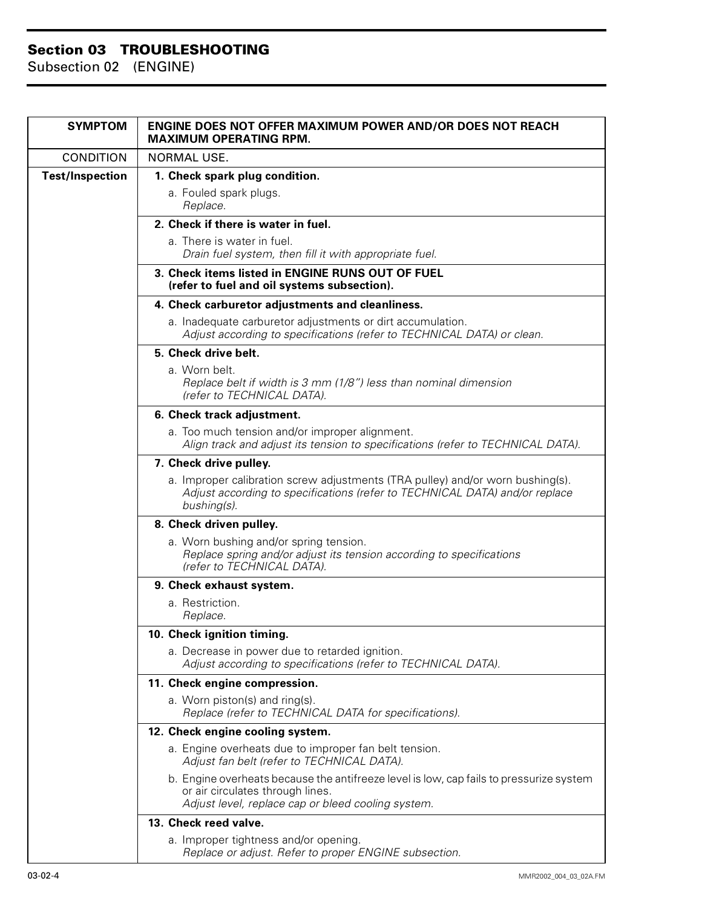| <b>SYMPTOM</b>         | <b>ENGINE DOES NOT OFFER MAXIMUM POWER AND/OR DOES NOT REACH</b><br><b>MAXIMUM OPERATING RPM.</b>                                                                                 |
|------------------------|-----------------------------------------------------------------------------------------------------------------------------------------------------------------------------------|
| <b>CONDITION</b>       | <b>NORMAL USE.</b>                                                                                                                                                                |
| <b>Test/Inspection</b> | 1. Check spark plug condition.                                                                                                                                                    |
|                        | a. Fouled spark plugs.<br>Replace.                                                                                                                                                |
|                        | 2. Check if there is water in fuel.                                                                                                                                               |
|                        | a. There is water in fuel.<br>Drain fuel system, then fill it with appropriate fuel.                                                                                              |
|                        | 3. Check items listed in ENGINE RUNS OUT OF FUEL<br>(refer to fuel and oil systems subsection).                                                                                   |
|                        | 4. Check carburetor adjustments and cleanliness.                                                                                                                                  |
|                        | a. Inadequate carburetor adjustments or dirt accumulation.<br>Adjust according to specifications (refer to TECHNICAL DATA) or clean.                                              |
|                        | 5. Check drive belt.                                                                                                                                                              |
|                        | a. Worn belt.<br>Replace belt if width is 3 mm (1/8") less than nominal dimension<br>(refer to TECHNICAL DATA).                                                                   |
|                        | 6. Check track adjustment.                                                                                                                                                        |
|                        | a. Too much tension and/or improper alignment.<br>Align track and adjust its tension to specifications (refer to TECHNICAL DATA).                                                 |
|                        | 7. Check drive pulley.                                                                                                                                                            |
|                        | a. Improper calibration screw adjustments (TRA pulley) and/or worn bushing(s).<br>Adjust according to specifications (refer to TECHNICAL DATA) and/or replace<br>bushing(s).      |
|                        | 8. Check driven pulley.                                                                                                                                                           |
|                        | a. Worn bushing and/or spring tension.<br>Replace spring and/or adjust its tension according to specifications<br>(refer to TECHNICAL DATA).                                      |
|                        | 9. Check exhaust system.                                                                                                                                                          |
|                        | a. Restriction.<br>Replace.                                                                                                                                                       |
|                        | 10. Check ignition timing.                                                                                                                                                        |
|                        | a. Decrease in power due to retarded ignition.<br>Adjust according to specifications (refer to TECHNICAL DATA).                                                                   |
|                        | 11. Check engine compression.                                                                                                                                                     |
|                        | a. Worn piston(s) and ring(s).<br>Replace (refer to TECHNICAL DATA for specifications).                                                                                           |
|                        | 12. Check engine cooling system.                                                                                                                                                  |
|                        | a. Engine overheats due to improper fan belt tension.<br>Adjust fan belt (refer to TECHNICAL DATA).                                                                               |
|                        | b. Engine overheats because the antifreeze level is low, cap fails to pressurize system<br>or air circulates through lines.<br>Adjust level, replace cap or bleed cooling system. |
|                        | 13. Check reed valve.                                                                                                                                                             |
|                        | a. Improper tightness and/or opening.<br>Replace or adjust. Refer to proper ENGINE subsection.                                                                                    |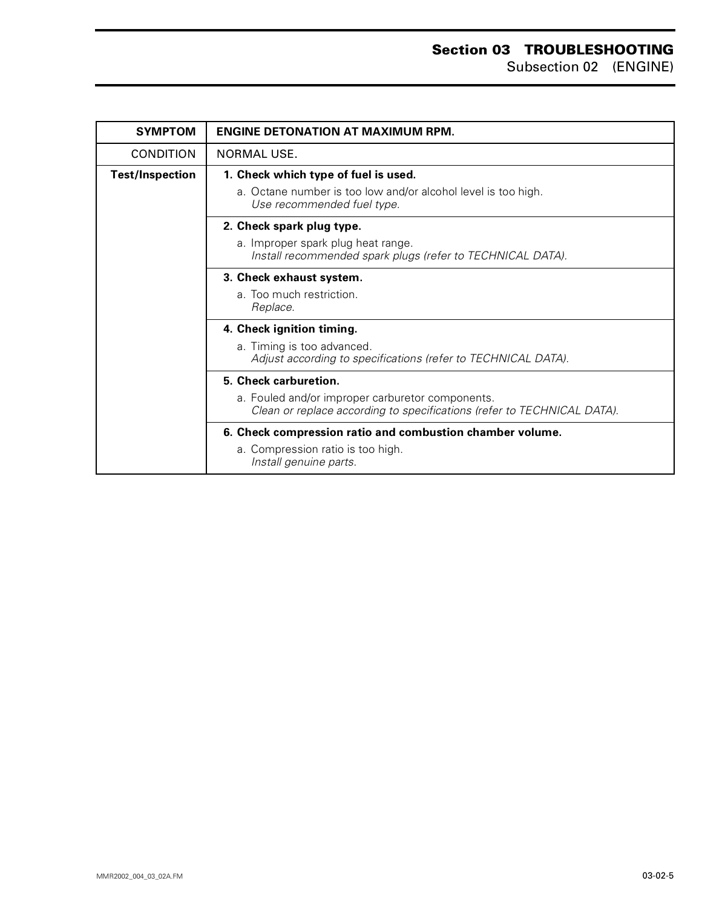### **Section 03 TROUBLESHOOTING** Subsection 02 (ENGINE)

| <b>SYMPTOM</b>         | <b>ENGINE DETONATION AT MAXIMUM RPM.</b>                                                                                    |
|------------------------|-----------------------------------------------------------------------------------------------------------------------------|
| <b>CONDITION</b>       | NORMAL USE.                                                                                                                 |
| <b>Test/Inspection</b> | 1. Check which type of fuel is used.                                                                                        |
|                        | a. Octane number is too low and/or alcohol level is too high.<br>Use recommended fuel type.                                 |
|                        | 2. Check spark plug type.                                                                                                   |
|                        | a. Improper spark plug heat range.<br>Install recommended spark plugs (refer to TECHNICAL DATA).                            |
|                        | 3. Check exhaust system.                                                                                                    |
|                        | a. Too much restriction.<br>Replace.                                                                                        |
|                        | 4. Check ignition timing.                                                                                                   |
|                        | a. Timing is too advanced.<br>Adjust according to specifications (refer to TECHNICAL DATA).                                 |
|                        | 5. Check carburetion.                                                                                                       |
|                        | a. Fouled and/or improper carburetor components.<br>Clean or replace according to specifications (refer to TECHNICAL DATA). |
|                        | 6. Check compression ratio and combustion chamber volume.                                                                   |
|                        | a. Compression ratio is too high.<br>Install genuine parts.                                                                 |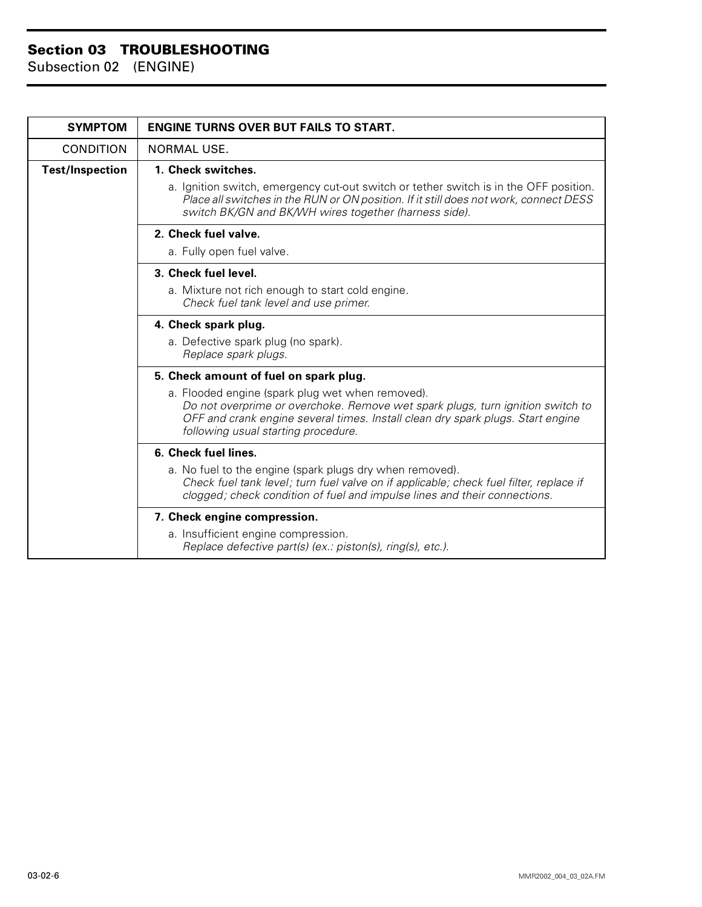| <b>SYMPTOM</b>         | <b>ENGINE TURNS OVER BUT FAILS TO START.</b>                                                                                                                                                                                                                 |
|------------------------|--------------------------------------------------------------------------------------------------------------------------------------------------------------------------------------------------------------------------------------------------------------|
| <b>CONDITION</b>       | <b>NORMAL USE.</b>                                                                                                                                                                                                                                           |
| <b>Test/Inspection</b> | 1. Check switches.                                                                                                                                                                                                                                           |
|                        | a. Ignition switch, emergency cut-out switch or tether switch is in the OFF position.<br>Place all switches in the RUN or ON position. If it still does not work, connect DESS<br>switch BK/GN and BK/WH wires together (harness side).                      |
|                        | 2. Check fuel valve.                                                                                                                                                                                                                                         |
|                        | a. Fully open fuel valve.                                                                                                                                                                                                                                    |
|                        | 3. Check fuel level.                                                                                                                                                                                                                                         |
|                        | a. Mixture not rich enough to start cold engine.<br>Check fuel tank level and use primer.                                                                                                                                                                    |
|                        | 4. Check spark plug.                                                                                                                                                                                                                                         |
|                        | a. Defective spark plug (no spark).<br>Replace spark plugs.                                                                                                                                                                                                  |
|                        | 5. Check amount of fuel on spark plug.                                                                                                                                                                                                                       |
|                        | a. Flooded engine (spark plug wet when removed).<br>Do not overprime or overchoke. Remove wet spark plugs, turn ignition switch to<br>OFF and crank engine several times. Install clean dry spark plugs. Start engine<br>following usual starting procedure. |
|                        | 6. Check fuel lines.                                                                                                                                                                                                                                         |
|                        | a. No fuel to the engine (spark plugs dry when removed).<br>Check fuel tank level; turn fuel valve on if applicable; check fuel filter, replace if<br>clogged; check condition of fuel and impulse lines and their connections.                              |
|                        | 7. Check engine compression.                                                                                                                                                                                                                                 |
|                        | a. Insufficient engine compression.<br>Replace defective part(s) (ex.: piston(s), ring(s), etc.).                                                                                                                                                            |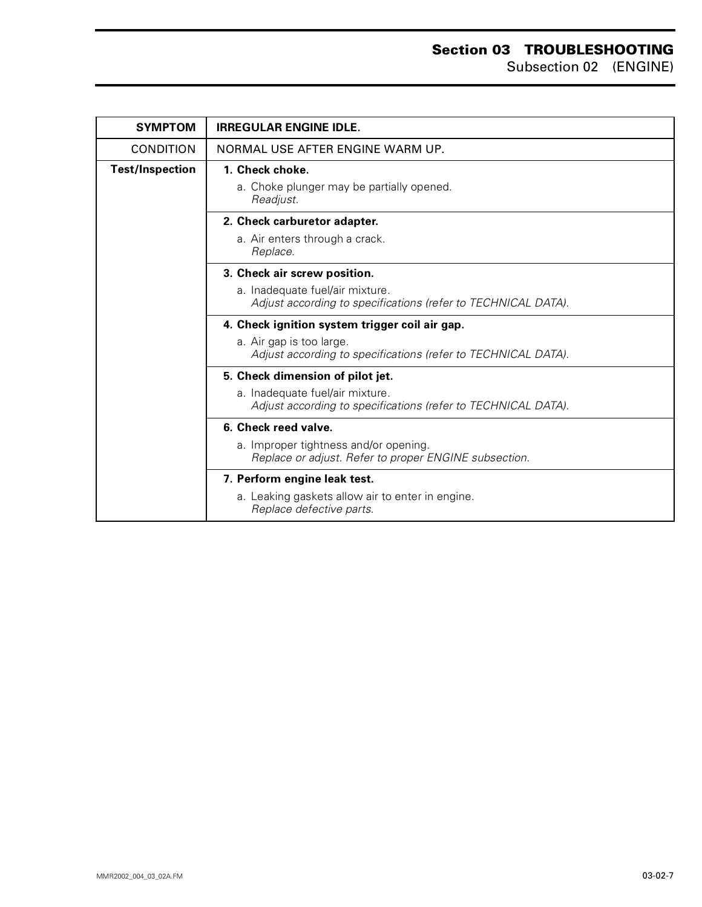### **Section 03 TROUBLESHOOTING** Subsection 02 (ENGINE)

| <b>SYMPTOM</b>         | <b>IRREGULAR ENGINE IDLE.</b>                                                                    |
|------------------------|--------------------------------------------------------------------------------------------------|
| <b>CONDITION</b>       | NORMAL USE AFTER ENGINE WARM UP.                                                                 |
| <b>Test/Inspection</b> | 1. Check choke.                                                                                  |
|                        | a. Choke plunger may be partially opened.<br>Readjust.                                           |
|                        | 2. Check carburetor adapter.                                                                     |
|                        | a. Air enters through a crack.<br>Replace.                                                       |
|                        | 3. Check air screw position.                                                                     |
|                        | a. Inadequate fuel/air mixture.<br>Adjust according to specifications (refer to TECHNICAL DATA). |
|                        | 4. Check ignition system trigger coil air gap.                                                   |
|                        | a. Air gap is too large.<br>Adjust according to specifications (refer to TECHNICAL DATA).        |
|                        | 5. Check dimension of pilot jet.                                                                 |
|                        | a. Inadequate fuel/air mixture.<br>Adjust according to specifications (refer to TECHNICAL DATA). |
|                        | 6. Check reed valve.                                                                             |
|                        | a. Improper tightness and/or opening.<br>Replace or adjust. Refer to proper ENGINE subsection.   |
|                        | 7. Perform engine leak test.                                                                     |
|                        | a. Leaking gaskets allow air to enter in engine.<br>Replace defective parts.                     |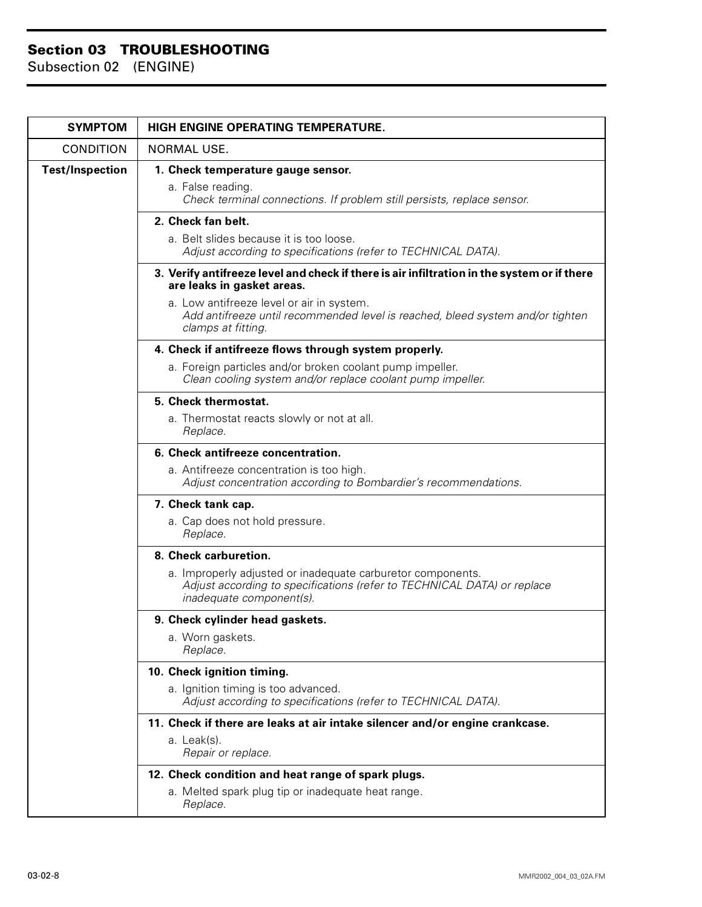| <b>SYMPTOM</b>         | HIGH ENGINE OPERATING TEMPERATURE.                                                                                                                                 |
|------------------------|--------------------------------------------------------------------------------------------------------------------------------------------------------------------|
| <b>CONDITION</b>       | NORMAL USE.                                                                                                                                                        |
| <b>Test/Inspection</b> | 1. Check temperature gauge sensor.                                                                                                                                 |
|                        | a. False reading.<br>Check terminal connections. If problem still persists, replace sensor.                                                                        |
|                        | 2. Check fan belt.                                                                                                                                                 |
|                        | a. Belt slides because it is too loose.<br>Adjust according to specifications (refer to TECHNICAL DATA).                                                           |
|                        | 3. Verify antifreeze level and check if there is air infiltration in the system or if there<br>are leaks in gasket areas.                                          |
|                        | a. Low antifreeze level or air in system.<br>Add antifreeze until recommended level is reached, bleed system and/or tighten<br>clamps at fitting.                  |
|                        | 4. Check if antifreeze flows through system properly.                                                                                                              |
|                        | a. Foreign particles and/or broken coolant pump impeller.<br>Clean cooling system and/or replace coolant pump impeller.                                            |
|                        | 5. Check thermostat.                                                                                                                                               |
|                        | a. Thermostat reacts slowly or not at all.<br>Replace.                                                                                                             |
|                        | 6. Check antifreeze concentration.                                                                                                                                 |
|                        | a. Antifreeze concentration is too high.<br>Adjust concentration according to Bombardier's recommendations.                                                        |
|                        | 7. Check tank cap.                                                                                                                                                 |
|                        | a. Cap does not hold pressure.<br>Replace.                                                                                                                         |
|                        | 8. Check carburetion.                                                                                                                                              |
|                        | a. Improperly adjusted or inadequate carburetor components.<br>Adjust according to specifications (refer to TECHNICAL DATA) or replace<br>inadequate component(s). |
|                        | 9. Check cylinder head gaskets.                                                                                                                                    |
|                        | a. Worn gaskets.<br>Replace.                                                                                                                                       |
|                        | 10. Check ignition timing.                                                                                                                                         |
|                        | a. Ignition timing is too advanced.<br>Adjust according to specifications (refer to TECHNICAL DATA).                                                               |
|                        | 11. Check if there are leaks at air intake silencer and/or engine crankcase.                                                                                       |
|                        | a. Leak(s).<br>Repair or replace.                                                                                                                                  |
|                        | 12. Check condition and heat range of spark plugs.                                                                                                                 |
|                        | a. Melted spark plug tip or inadequate heat range.<br>Replace.                                                                                                     |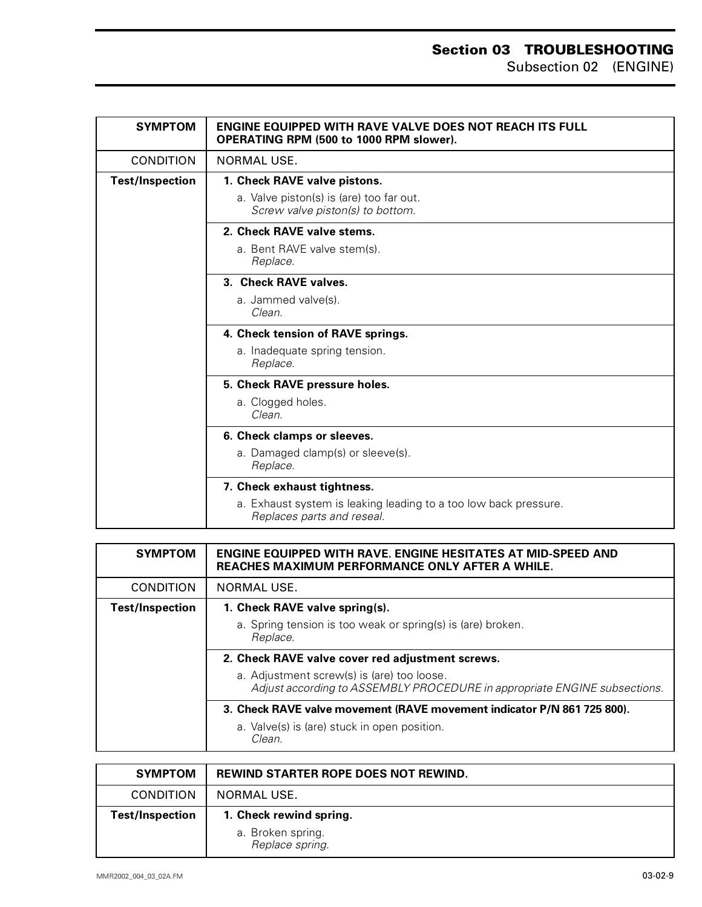| <b>SYMPTOM</b>         | <b>ENGINE EQUIPPED WITH RAVE VALVE DOES NOT REACH ITS FULL</b><br>OPERATING RPM (500 to 1000 RPM slower). |
|------------------------|-----------------------------------------------------------------------------------------------------------|
| <b>CONDITION</b>       | NORMAL USE.                                                                                               |
| <b>Test/Inspection</b> | 1. Check RAVE valve pistons.                                                                              |
|                        | a. Valve piston(s) is (are) too far out.<br>Screw valve piston(s) to bottom.                              |
|                        | 2. Check RAVE valve stems.                                                                                |
|                        | a. Bent RAVE valve stem(s).<br>Replace.                                                                   |
|                        | 3. Check RAVE valves.                                                                                     |
|                        | a. Jammed valve(s).<br>Clean.                                                                             |
|                        | 4. Check tension of RAVE springs.                                                                         |
|                        | a. Inadequate spring tension.<br>Replace.                                                                 |
|                        | 5. Check RAVE pressure holes.                                                                             |
|                        | a. Clogged holes.<br>Clean.                                                                               |
|                        | 6. Check clamps or sleeves.                                                                               |
|                        | a. Damaged clamp(s) or sleeve(s).<br>Replace.                                                             |
|                        | 7. Check exhaust tightness.                                                                               |
|                        | a. Exhaust system is leaking leading to a too low back pressure.<br>Replaces parts and reseal.            |

| <b>SYMPTOM</b>         | <b>ENGINE EQUIPPED WITH RAVE. ENGINE HESITATES AT MID-SPEED AND</b><br><b>REACHES MAXIMUM PERFORMANCE ONLY AFTER A WHILE.</b> |
|------------------------|-------------------------------------------------------------------------------------------------------------------------------|
| <b>CONDITION</b>       | NORMAL USE.                                                                                                                   |
| <b>Test/Inspection</b> | 1. Check RAVE valve spring(s).                                                                                                |
|                        | a. Spring tension is too weak or spring(s) is (are) broken.<br>Replace.                                                       |
|                        | 2. Check RAVE valve cover red adjustment screws.                                                                              |
|                        | a. Adjustment screw(s) is (are) too loose.<br>Adjust according to ASSEMBLY PROCEDURE in appropriate ENGINE subsections.       |
|                        | 3. Check RAVE valve movement (RAVE movement indicator P/N 861 725 800).                                                       |
|                        | a. Valve(s) is (are) stuck in open position.<br>Clean.                                                                        |

| <b>SYMPTOM</b>         | REWIND STARTER ROPE DOES NOT REWIND.                            |
|------------------------|-----------------------------------------------------------------|
| <b>CONDITION</b>       | NORMAL USE.                                                     |
| <b>Test/Inspection</b> | 1. Check rewind spring.<br>a. Broken spring.<br>Replace spring. |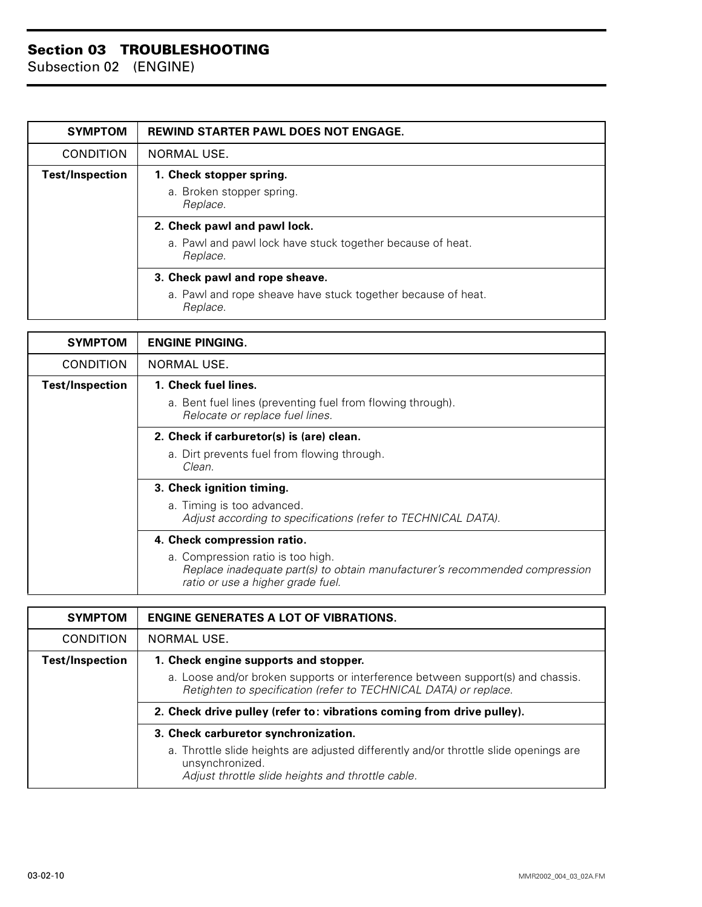| <b>SYMPTOM</b>         | <b>REWIND STARTER PAWL DOES NOT ENGAGE.</b>                              |
|------------------------|--------------------------------------------------------------------------|
| <b>CONDITION</b>       | NORMAL USE.                                                              |
| <b>Test/Inspection</b> | 1. Check stopper spring.                                                 |
|                        | a. Broken stopper spring.<br>Replace.                                    |
|                        | 2. Check pawl and pawl lock.                                             |
|                        | a. Pawl and pawl lock have stuck together because of heat.<br>Replace.   |
|                        | 3. Check pawl and rope sheave.                                           |
|                        | a. Pawl and rope sheave have stuck together because of heat.<br>Replace. |

| <b>SYMPTOM</b>         | <b>ENGINE PINGING.</b>                                                                                                                                |
|------------------------|-------------------------------------------------------------------------------------------------------------------------------------------------------|
| <b>CONDITION</b>       | <b>NORMAL USE.</b>                                                                                                                                    |
| <b>Test/Inspection</b> | 1. Check fuel lines.                                                                                                                                  |
|                        | a. Bent fuel lines (preventing fuel from flowing through).<br>Relocate or replace fuel lines.                                                         |
|                        | 2. Check if carburetor(s) is (are) clean.                                                                                                             |
|                        | a. Dirt prevents fuel from flowing through.<br>Clean.                                                                                                 |
|                        | 3. Check ignition timing.                                                                                                                             |
|                        | a. Timing is too advanced.                                                                                                                            |
|                        | Adjust according to specifications (refer to TECHNICAL DATA).                                                                                         |
|                        | 4. Check compression ratio.                                                                                                                           |
|                        | a. Compression ratio is too high.<br>Replace inadequate part(s) to obtain manufacturer's recommended compression<br>ratio or use a higher grade fuel. |

| <b>SYMPTOM</b>         | <b>ENGINE GENERATES A LOT OF VIBRATIONS.</b>                                                                                                                  |
|------------------------|---------------------------------------------------------------------------------------------------------------------------------------------------------------|
| <b>CONDITION</b>       | NORMAL USE.                                                                                                                                                   |
| <b>Test/Inspection</b> | 1. Check engine supports and stopper.                                                                                                                         |
|                        | a. Loose and/or broken supports or interference between support(s) and chassis.<br>Retighten to specification (refer to TECHNICAL DATA) or replace.           |
|                        | 2. Check drive pulley (refer to: vibrations coming from drive pulley).                                                                                        |
|                        | 3. Check carburetor synchronization.                                                                                                                          |
|                        | a. Throttle slide heights are adjusted differently and/or throttle slide openings are<br>unsynchronized.<br>Adjust throttle slide heights and throttle cable. |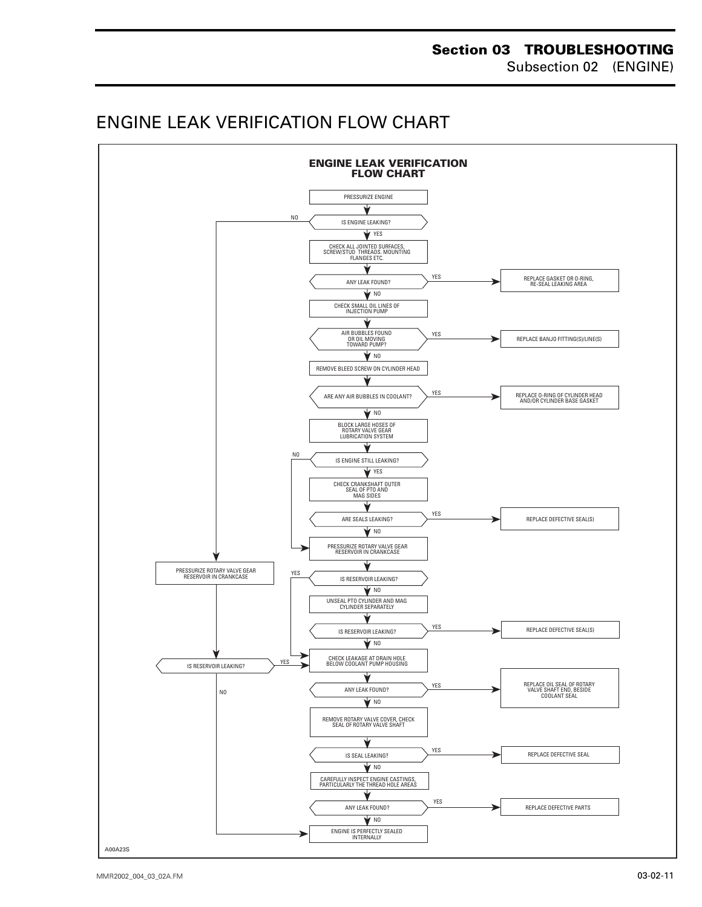## <span id="page-11-0"></span>ENGINE LEAK VERIFICATION FLOW CHART

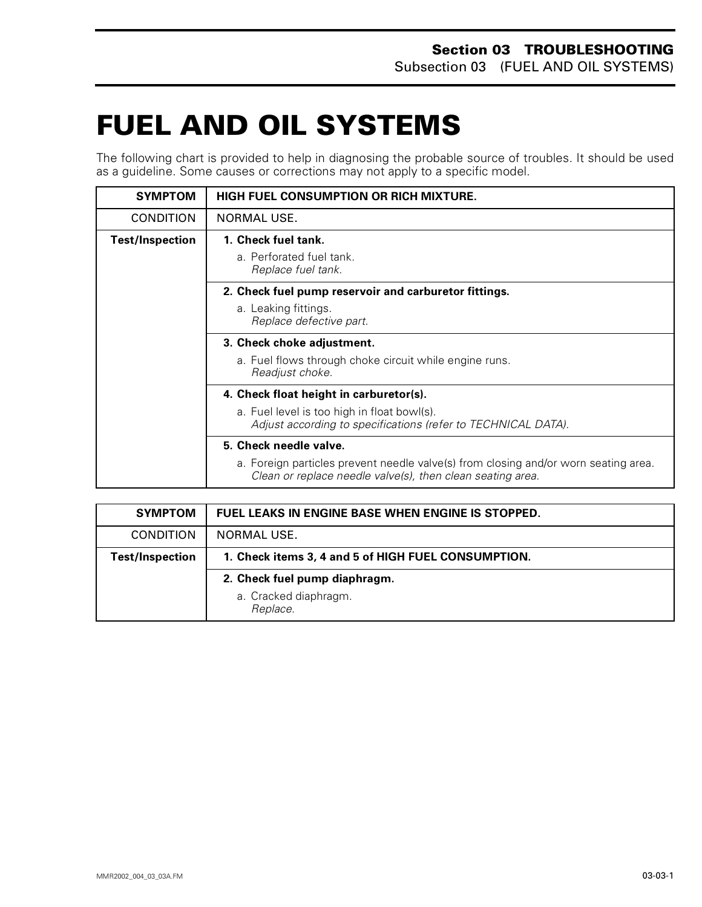# <span id="page-12-0"></span>**FUEL AND OIL SYSTEMS 0**

The following chart is provided to help in diagnosing the probable source of troubles. It should be used as a guideline. Some causes or corrections may not apply to a specific model.

| <b>SYMPTOM</b>         | <b>HIGH FUEL CONSUMPTION OR RICH MIXTURE.</b>                                                                                                                               |
|------------------------|-----------------------------------------------------------------------------------------------------------------------------------------------------------------------------|
| <b>CONDITION</b>       | NORMAL USE.                                                                                                                                                                 |
| <b>Test/Inspection</b> | 1. Check fuel tank.<br>a. Perforated fuel tank.<br>Replace fuel tank.                                                                                                       |
|                        | 2. Check fuel pump reservoir and carburetor fittings.<br>a. Leaking fittings.<br>Replace defective part.                                                                    |
|                        | 3. Check choke adjustment.<br>a. Fuel flows through choke circuit while engine runs.<br>Readjust choke.                                                                     |
|                        | 4. Check float height in carburetor(s).<br>a. Fuel level is too high in float bowl(s).<br>Adjust according to specifications (refer to TECHNICAL DATA).                     |
|                        | 5. Check needle valve.<br>a. Foreign particles prevent needle valve(s) from closing and/or worn seating area.<br>Clean or replace needle valve(s), then clean seating area. |

| <b>SYMPTOM</b>         | FUEL LEAKS IN ENGINE BASE WHEN ENGINE IS STOPPED.   |
|------------------------|-----------------------------------------------------|
| <b>CONDITION</b>       | NORMAL USE.                                         |
| <b>Test/Inspection</b> | 1. Check items 3, 4 and 5 of HIGH FUEL CONSUMPTION. |
|                        | 2. Check fuel pump diaphragm.                       |
|                        | a. Cracked diaphragm.<br>Replace.                   |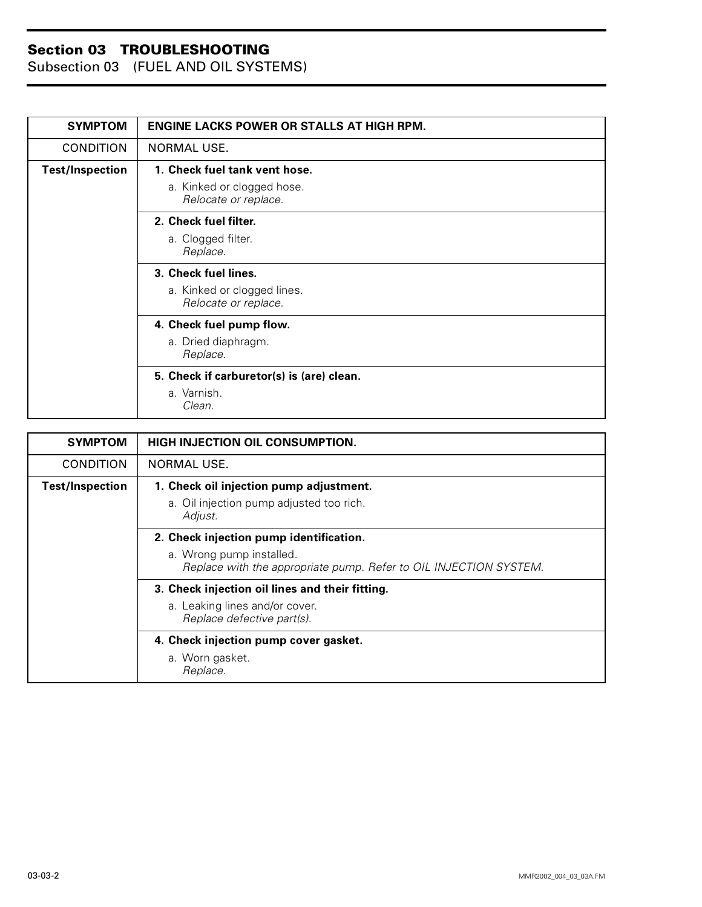Subsection 03 (FUEL AND OIL SYSTEMS)

| <b>SYMPTOM</b>         | <b>ENGINE LACKS POWER OR STALLS AT HIGH RPM.</b>    |
|------------------------|-----------------------------------------------------|
| <b>CONDITION</b>       | <b>NORMAL USE.</b>                                  |
| <b>Test/Inspection</b> | 1. Check fuel tank vent hose.                       |
|                        | a. Kinked or clogged hose.<br>Relocate or replace.  |
|                        | 2. Check fuel filter.                               |
|                        | a. Clogged filter.<br>Replace.                      |
|                        | 3. Check fuel lines.                                |
|                        | a. Kinked or clogged lines.<br>Relocate or replace. |
|                        | 4. Check fuel pump flow.                            |
|                        | a. Dried diaphragm.<br>Replace.                     |
|                        | 5. Check if carburetor(s) is (are) clean.           |
|                        | a. Varnish.<br>Clean.                               |

| <b>SYMPTOM</b>         | HIGH INJECTION OIL CONSUMPTION.                                                               |
|------------------------|-----------------------------------------------------------------------------------------------|
| <b>CONDITION</b>       | NORMAL USE.                                                                                   |
| <b>Test/Inspection</b> | 1. Check oil injection pump adjustment.                                                       |
|                        | a. Oil injection pump adjusted too rich.<br>Adjust.                                           |
|                        | 2. Check injection pump identification.                                                       |
|                        | a. Wrong pump installed.<br>Replace with the appropriate pump. Refer to OIL INJECTION SYSTEM. |
|                        | 3. Check injection oil lines and their fitting.                                               |
|                        | a. Leaking lines and/or cover.<br>Replace defective part(s).                                  |
|                        | 4. Check injection pump cover gasket.                                                         |
|                        | a. Worn gasket.<br>Replace.                                                                   |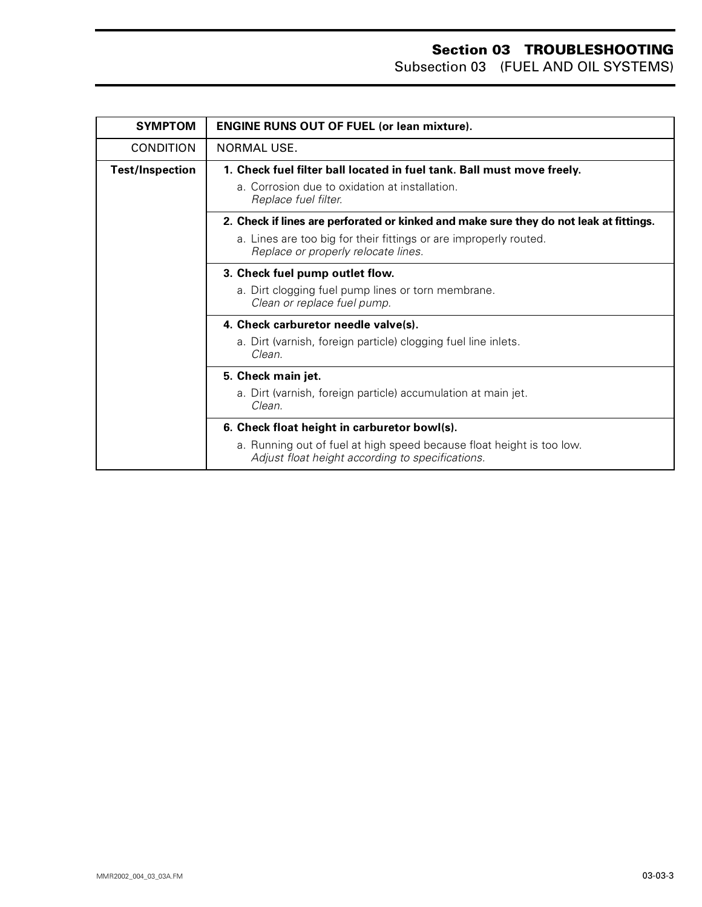Subsection 03 (FUEL AND OIL SYSTEMS)

| <b>SYMPTOM</b>         | <b>ENGINE RUNS OUT OF FUEL (or lean mixture).</b>                                                                         |
|------------------------|---------------------------------------------------------------------------------------------------------------------------|
| <b>CONDITION</b>       | NORMAL USE.                                                                                                               |
| <b>Test/Inspection</b> | 1. Check fuel filter ball located in fuel tank. Ball must move freely.                                                    |
|                        | a. Corrosion due to oxidation at installation.<br>Replace fuel filter.                                                    |
|                        | 2. Check if lines are perforated or kinked and make sure they do not leak at fittings.                                    |
|                        | a. Lines are too big for their fittings or are improperly routed.<br>Replace or properly relocate lines.                  |
|                        | 3. Check fuel pump outlet flow.                                                                                           |
|                        | a. Dirt clogging fuel pump lines or torn membrane.<br>Clean or replace fuel pump.                                         |
|                        | 4. Check carburetor needle valve(s).                                                                                      |
|                        | a. Dirt (varnish, foreign particle) clogging fuel line inlets.<br>Clean.                                                  |
|                        | 5. Check main jet.                                                                                                        |
|                        | a. Dirt (varnish, foreign particle) accumulation at main jet.<br>Clean.                                                   |
|                        | 6. Check float height in carburetor bowl(s).                                                                              |
|                        | a. Running out of fuel at high speed because float height is too low.<br>Adjust float height according to specifications. |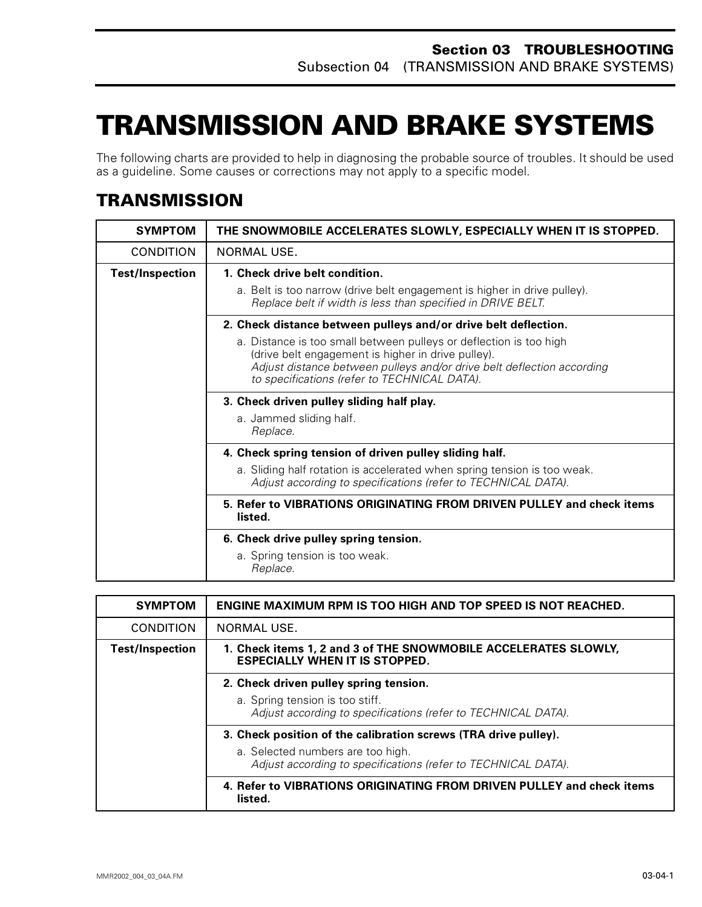# <span id="page-15-0"></span>**TRANSMISSION AND BRAKE SYSTEMS0**

The following charts are provided to help in diagnosing the probable source of troubles. It should be used as a guideline. Some causes or corrections may not apply to a specific model.

## <span id="page-15-1"></span>**TRANSMISSION**

| <b>SYMPTOM</b>         | THE SNOWMOBILE ACCELERATES SLOWLY, ESPECIALLY WHEN IT IS STOPPED.                                                                                                                                                                                  |
|------------------------|----------------------------------------------------------------------------------------------------------------------------------------------------------------------------------------------------------------------------------------------------|
| <b>CONDITION</b>       | NORMAL USE.                                                                                                                                                                                                                                        |
| <b>Test/Inspection</b> | 1. Check drive belt condition.                                                                                                                                                                                                                     |
|                        | a. Belt is too narrow (drive belt engagement is higher in drive pulley).<br>Replace belt if width is less than specified in DRIVE BELT.                                                                                                            |
|                        | 2. Check distance between pulleys and/or drive belt deflection.                                                                                                                                                                                    |
|                        | a. Distance is too small between pulleys or deflection is too high<br>(drive belt engagement is higher in drive pulley).<br>Adjust distance between pulleys and/or drive belt deflection according<br>to specifications (refer to TECHNICAL DATA). |
|                        | 3. Check driven pulley sliding half play.                                                                                                                                                                                                          |
|                        | a. Jammed sliding half.<br>Replace.                                                                                                                                                                                                                |
|                        | 4. Check spring tension of driven pulley sliding half.                                                                                                                                                                                             |
|                        | a. Sliding half rotation is accelerated when spring tension is too weak.<br>Adjust according to specifications (refer to TECHNICAL DATA).                                                                                                          |
|                        | 5. Refer to VIBRATIONS ORIGINATING FROM DRIVEN PULLEY and check items<br>listed.                                                                                                                                                                   |
|                        | 6. Check drive pulley spring tension.                                                                                                                                                                                                              |
|                        | a. Spring tension is too weak.<br>Replace.                                                                                                                                                                                                         |

| <b>SYMPTOM</b>         | <b>ENGINE MAXIMUM RPM IS TOO HIGH AND TOP SPEED IS NOT REACHED.</b>                                      |
|------------------------|----------------------------------------------------------------------------------------------------------|
| <b>CONDITION</b>       | NORMAL USE.                                                                                              |
| <b>Test/Inspection</b> | 1. Check items 1, 2 and 3 of THE SNOWMOBILE ACCELERATES SLOWLY,<br><b>ESPECIALLY WHEN IT IS STOPPED.</b> |
|                        | 2. Check driven pulley spring tension.                                                                   |
|                        | a. Spring tension is too stiff.<br>Adjust according to specifications (refer to TECHNICAL DATA).         |
|                        | 3. Check position of the calibration screws (TRA drive pulley).                                          |
|                        | a. Selected numbers are too high.<br>Adjust according to specifications (refer to TECHNICAL DATA).       |
|                        | 4. Refer to VIBRATIONS ORIGINATING FROM DRIVEN PULLEY and check items<br>listed.                         |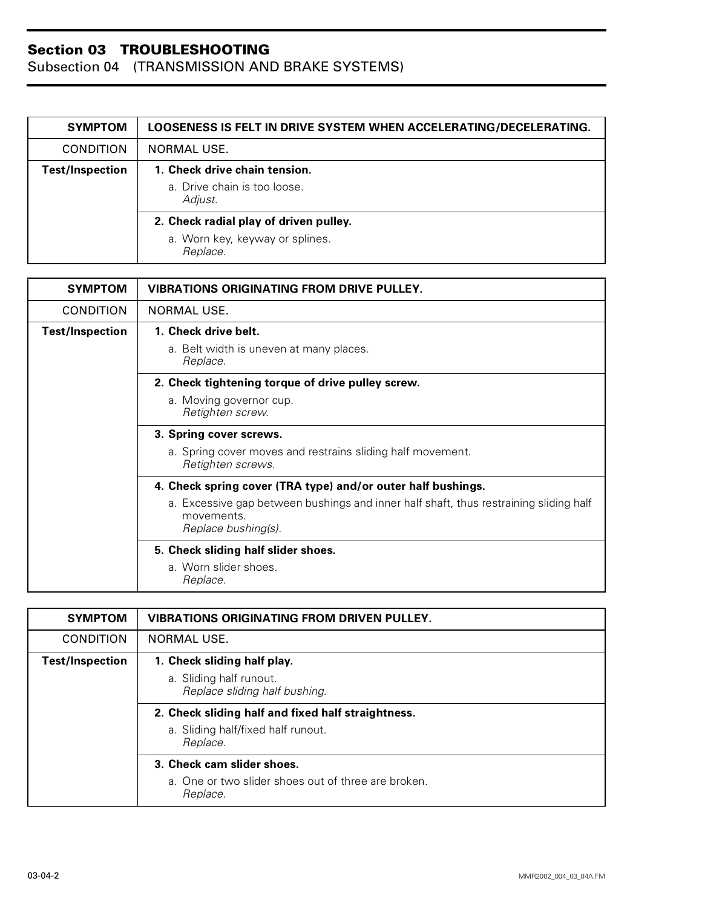| <b>SYMPTOM</b>         | LOOSENESS IS FELT IN DRIVE SYSTEM WHEN ACCELERATING/DECELERATING. |
|------------------------|-------------------------------------------------------------------|
| <b>CONDITION</b>       | <b>NORMAL USE.</b>                                                |
| <b>Test/Inspection</b> | 1. Check drive chain tension.<br>a. Drive chain is too loose.     |
|                        | Adjust.                                                           |
|                        | 2. Check radial play of driven pulley.                            |
|                        | a. Worn key, keyway or splines.<br>Replace.                       |

| <b>SYMPTOM</b>         | <b>VIBRATIONS ORIGINATING FROM DRIVE PULLEY.</b>                                                                           |
|------------------------|----------------------------------------------------------------------------------------------------------------------------|
| <b>CONDITION</b>       | NORMAL USE.                                                                                                                |
| <b>Test/Inspection</b> | 1. Check drive belt.                                                                                                       |
|                        | a. Belt width is uneven at many places.<br>Replace.                                                                        |
|                        | 2. Check tightening torque of drive pulley screw.                                                                          |
|                        | a. Moving governor cup.<br>Retighten screw.                                                                                |
|                        | 3. Spring cover screws.                                                                                                    |
|                        | a. Spring cover moves and restrains sliding half movement.<br>Retighten screws.                                            |
|                        | 4. Check spring cover (TRA type) and/or outer half bushings.                                                               |
|                        | a. Excessive gap between bushings and inner half shaft, thus restraining sliding half<br>movements.<br>Replace bushing(s). |
|                        | 5. Check sliding half slider shoes.                                                                                        |
|                        | a. Worn slider shoes.<br>Replace.                                                                                          |

| <b>SYMPTOM</b>         | <b>VIBRATIONS ORIGINATING FROM DRIVEN PULLEY.</b>               |
|------------------------|-----------------------------------------------------------------|
| <b>CONDITION</b>       | NORMAL USE.                                                     |
| <b>Test/Inspection</b> | 1. Check sliding half play.                                     |
|                        | a. Sliding half runout.<br>Replace sliding half bushing.        |
|                        | 2. Check sliding half and fixed half straightness.              |
|                        | a. Sliding half/fixed half runout.<br>Replace.                  |
|                        | 3. Check cam slider shoes.                                      |
|                        | a. One or two slider shoes out of three are broken.<br>Replace. |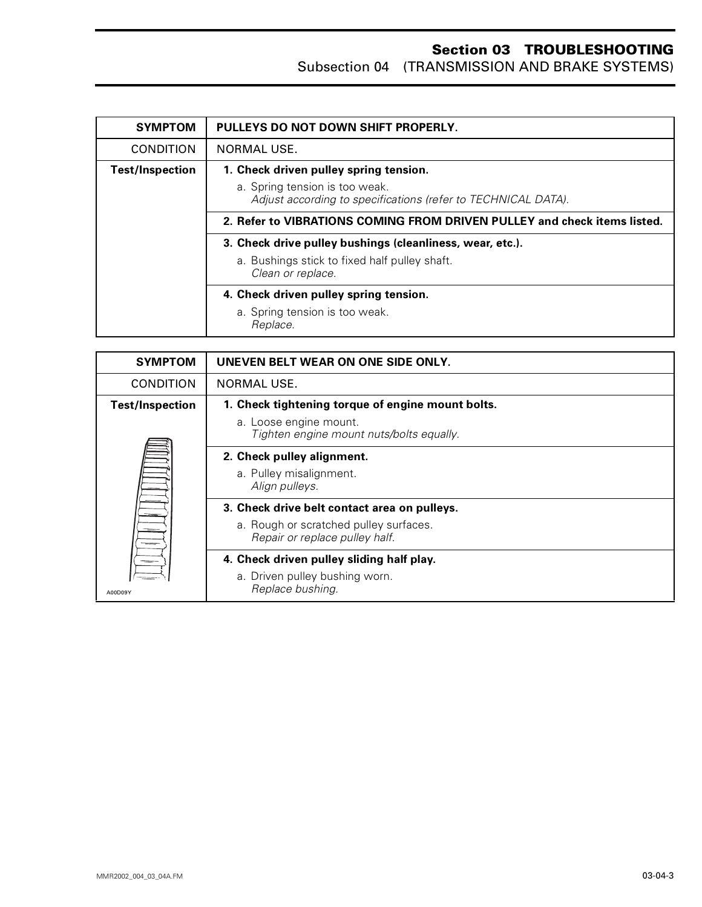| <b>SYMPTOM</b>         | PULLEYS DO NOT DOWN SHIFT PROPERLY.                                                             |
|------------------------|-------------------------------------------------------------------------------------------------|
| <b>CONDITION</b>       | NORMAL USE.                                                                                     |
| <b>Test/Inspection</b> | 1. Check driven pulley spring tension.                                                          |
|                        | a. Spring tension is too weak.<br>Adjust according to specifications (refer to TECHNICAL DATA). |
|                        | 2. Refer to VIBRATIONS COMING FROM DRIVEN PULLEY and check items listed.                        |
|                        | 3. Check drive pulley bushings (cleanliness, wear, etc.).                                       |
|                        | a. Bushings stick to fixed half pulley shaft.<br>Clean or replace.                              |
|                        | 4. Check driven pulley spring tension.                                                          |
|                        | a. Spring tension is too weak.<br>Replace.                                                      |

| <b>SYMPTOM</b>         | UNEVEN BELT WEAR ON ONE SIDE ONLY.                                       |
|------------------------|--------------------------------------------------------------------------|
| <b>CONDITION</b>       | NORMAL USE.                                                              |
| <b>Test/Inspection</b> | 1. Check tightening torque of engine mount bolts.                        |
|                        | a. Loose engine mount.<br>Tighten engine mount nuts/bolts equally.       |
|                        | 2. Check pulley alignment.                                               |
|                        | a. Pulley misalignment.<br>Align pulleys.                                |
|                        | 3. Check drive belt contact area on pulleys.                             |
|                        | a. Rough or scratched pulley surfaces.<br>Repair or replace pulley half. |
|                        | 4. Check driven pulley sliding half play.                                |
| A00D09Y                | a. Driven pulley bushing worn.<br>Replace bushing.                       |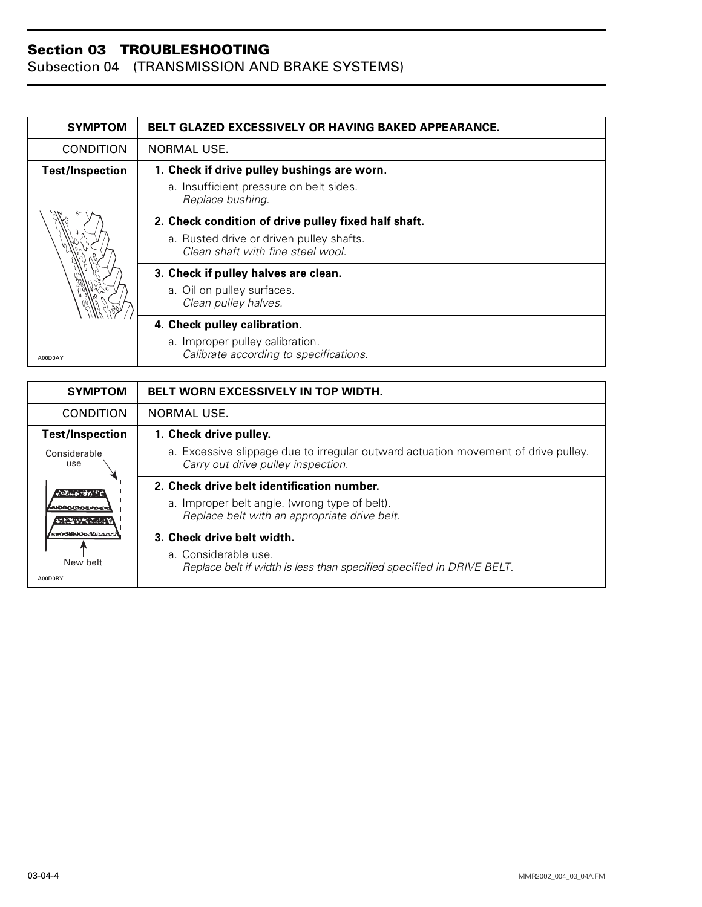| <b>SYMPTOM</b>         | <b>BELT GLAZED EXCESSIVELY OR HAVING BAKED APPEARANCE.</b>                    |
|------------------------|-------------------------------------------------------------------------------|
| <b>CONDITION</b>       | NORMAL USE.                                                                   |
| <b>Test/Inspection</b> | 1. Check if drive pulley bushings are worn.                                   |
|                        | a. Insufficient pressure on belt sides.<br>Replace bushing.                   |
|                        | 2. Check condition of drive pulley fixed half shaft.                          |
|                        | a. Rusted drive or driven pulley shafts.<br>Clean shaft with fine steel wool. |
|                        | 3. Check if pulley halves are clean.                                          |
|                        | a. Oil on pulley surfaces.<br>Clean pulley halves.                            |
|                        | 4. Check pulley calibration.                                                  |
| A00D0AY                | a. Improper pulley calibration.<br>Calibrate according to specifications.     |

| <b>SYMPTOM</b>              | BELT WORN EXCESSIVELY IN TOP WIDTH.                                                                                      |
|-----------------------------|--------------------------------------------------------------------------------------------------------------------------|
| <b>CONDITION</b>            | NORMAL USE.                                                                                                              |
| <b>Test/Inspection</b>      | 1. Check drive pulley.                                                                                                   |
| Considerable<br>use         | a. Excessive slippage due to irregular outward actuation movement of drive pulley.<br>Carry out drive pulley inspection. |
| ባለ አመል የሚሰራ የ <u>ተ</u>      | 2. Check drive belt identification number.                                                                               |
| ഢ്സോറലമംഗ<br>动物的形成动物        | a. Improper belt angle. (wrong type of belt).<br>Replace belt with an appropriate drive belt.                            |
| <b>KINDOMANASA SELDALAR</b> | 3. Check drive belt width.                                                                                               |
| New belt<br>A00D0BY         | a. Considerable use.<br>Replace belt if width is less than specified specified in DRIVE BELT.                            |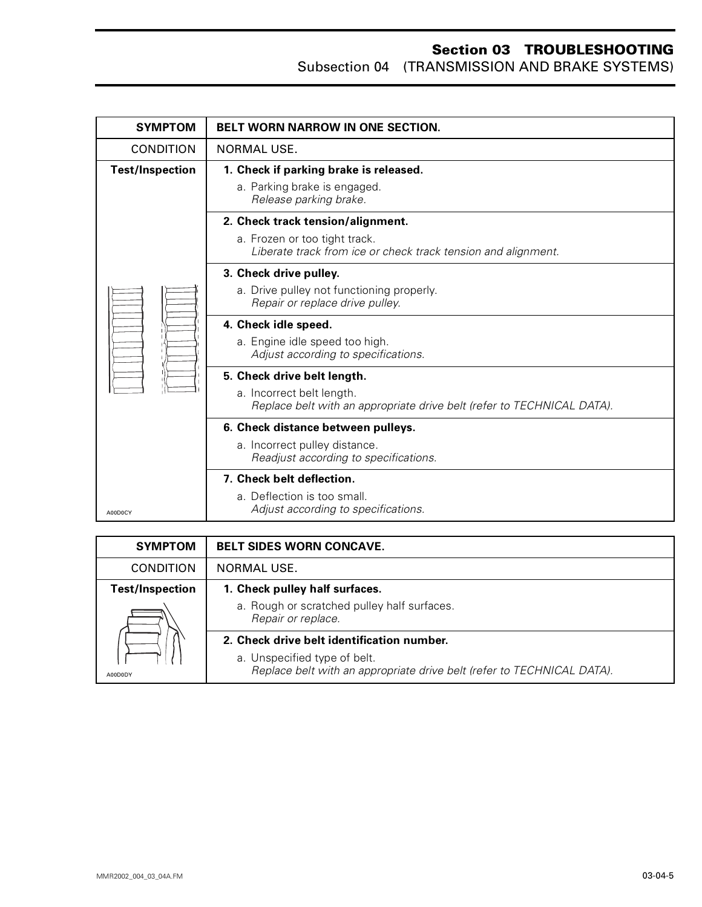| <b>SYMPTOM</b>         | <b>BELT WORN NARROW IN ONE SECTION.</b>                                                             |
|------------------------|-----------------------------------------------------------------------------------------------------|
| <b>CONDITION</b>       | NORMAL USE.                                                                                         |
| <b>Test/Inspection</b> | 1. Check if parking brake is released.                                                              |
|                        | a. Parking brake is engaged.<br>Release parking brake.                                              |
|                        | 2. Check track tension/alignment.                                                                   |
|                        | a. Frozen or too tight track.                                                                       |
|                        | Liberate track from ice or check track tension and alignment.                                       |
|                        | 3. Check drive pulley.                                                                              |
|                        | a. Drive pulley not functioning properly.<br>Repair or replace drive pulley.                        |
|                        | 4. Check idle speed.                                                                                |
|                        | a. Engine idle speed too high.<br>Adjust according to specifications.                               |
|                        | 5. Check drive belt length.                                                                         |
|                        | a. Incorrect belt length.<br>Replace belt with an appropriate drive belt (refer to TECHNICAL DATA). |
|                        | 6. Check distance between pulleys.                                                                  |
|                        | a. Incorrect pulley distance.<br>Readjust according to specifications.                              |
|                        | 7. Check belt deflection.                                                                           |
|                        | a. Deflection is too small.                                                                         |
| A00D0CY                | Adjust according to specifications.                                                                 |

| <b>SYMPTOM</b>         | <b>BELT SIDES WORN CONCAVE.</b>                                                                        |
|------------------------|--------------------------------------------------------------------------------------------------------|
| <b>CONDITION</b>       | NORMAL USE.                                                                                            |
| <b>Test/Inspection</b> | 1. Check pulley half surfaces.                                                                         |
|                        | a. Rough or scratched pulley half surfaces.<br>Repair or replace.                                      |
|                        | 2. Check drive belt identification number.                                                             |
| A00D0DY                | a. Unspecified type of belt.<br>Replace belt with an appropriate drive belt (refer to TECHNICAL DATA). |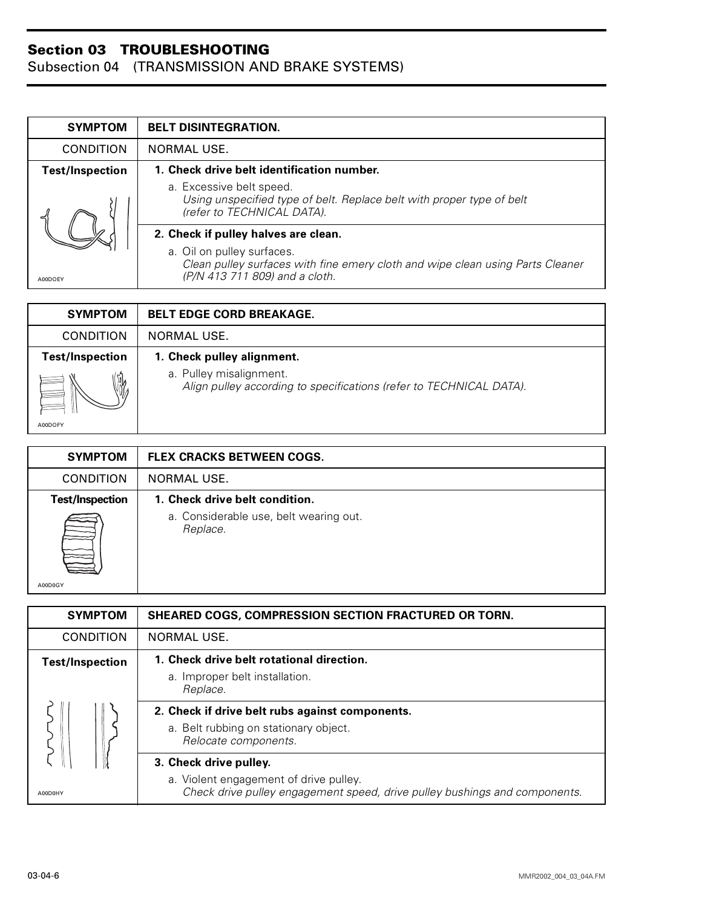| <b>SYMPTOM</b>         | <b>BELT DISINTEGRATION.</b>                                                                                                                    |
|------------------------|------------------------------------------------------------------------------------------------------------------------------------------------|
| <b>CONDITION</b>       | NORMAL USE.                                                                                                                                    |
| <b>Test/Inspection</b> | 1. Check drive belt identification number.                                                                                                     |
| A00DOEY                | a. Excessive belt speed.<br>Using unspecified type of belt. Replace belt with proper type of belt<br>(refer to TECHNICAL DATA).                |
|                        | 2. Check if pulley halves are clean.                                                                                                           |
|                        | a. Oil on pulley surfaces.<br>Clean pulley surfaces with fine emery cloth and wipe clean using Parts Cleaner<br>(P/N 413 711 809) and a cloth. |

| <b>SYMPTOM</b>         | <b>BELT EDGE CORD BREAKAGE.</b>                                                                |
|------------------------|------------------------------------------------------------------------------------------------|
| <b>CONDITION</b>       | NORMAL USE.                                                                                    |
| <b>Test/Inspection</b> | 1. Check pulley alignment.                                                                     |
| $\frac{1}{2}$          | a. Pulley misalignment.<br>Align pulley according to specifications (refer to TECHNICAL DATA). |
| A00DOFY                |                                                                                                |

| <b>SYMPTOM</b>         | <b>FLEX CRACKS BETWEEN COGS.</b>                   |
|------------------------|----------------------------------------------------|
| <b>CONDITION</b>       | NORMAL USE.                                        |
| <b>Test/Inspection</b> | 1. Check drive belt condition.                     |
| A00D0GY                | a. Considerable use, belt wearing out.<br>Replace. |

| <b>SYMPTOM</b>         | <b>SHEARED COGS, COMPRESSION SECTION FRACTURED OR TORN.</b>                                                                                    |
|------------------------|------------------------------------------------------------------------------------------------------------------------------------------------|
| <b>CONDITION</b>       | NORMAL USE.                                                                                                                                    |
| <b>Test/Inspection</b> | 1. Check drive belt rotational direction.<br>a. Improper belt installation.<br>Replace.                                                        |
|                        | 2. Check if drive belt rubs against components.<br>a. Belt rubbing on stationary object.<br>Relocate components.                               |
| A00D0HY                | 3. Check drive pulley.<br>a. Violent engagement of drive pulley.<br>Check drive pulley engagement speed, drive pulley bushings and components. |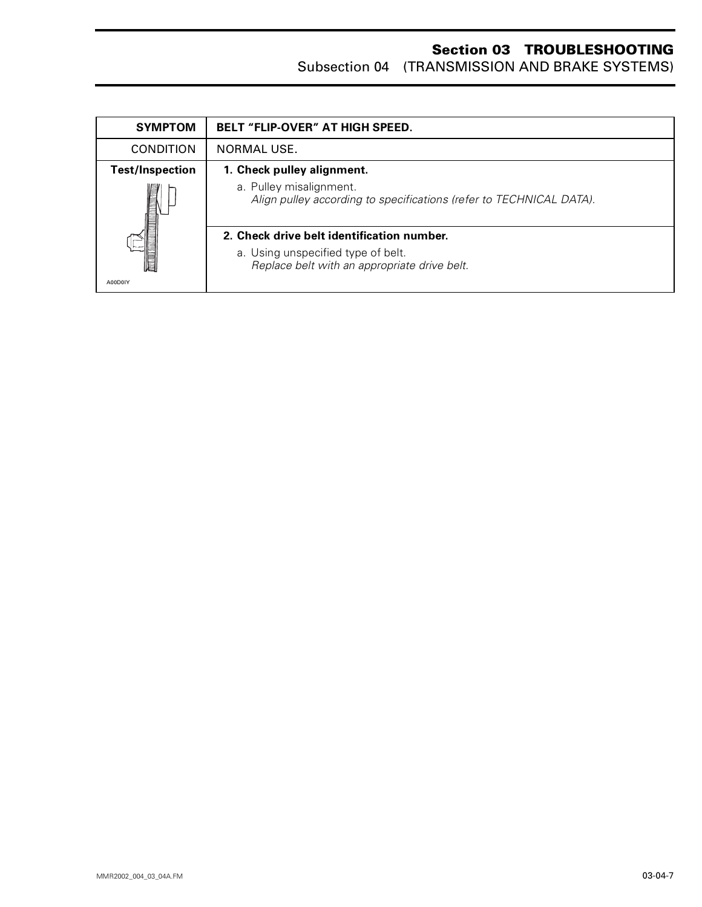| <b>SYMPTOM</b>                                                                                                                                                                                                  | <b>BELT "FLIP-OVER" AT HIGH SPEED.</b>                                                         |
|-----------------------------------------------------------------------------------------------------------------------------------------------------------------------------------------------------------------|------------------------------------------------------------------------------------------------|
| <b>CONDITION</b>                                                                                                                                                                                                | NORMAL USE.                                                                                    |
| <b>Test/Inspection</b>                                                                                                                                                                                          | 1. Check pulley alignment.                                                                     |
| <b>The Contract of the Contract of the Contract of the Contract of the Contract of the Contract of the Contract of the Contract of the Contract of the Contract of the Contract of the Contract of Taxa and</b> | a. Pulley misalignment.<br>Align pulley according to specifications (refer to TECHNICAL DATA). |
|                                                                                                                                                                                                                 | 2. Check drive belt identification number.                                                     |
|                                                                                                                                                                                                                 | a. Using unspecified type of belt.<br>Replace belt with an appropriate drive belt.             |
| A00D0IY                                                                                                                                                                                                         |                                                                                                |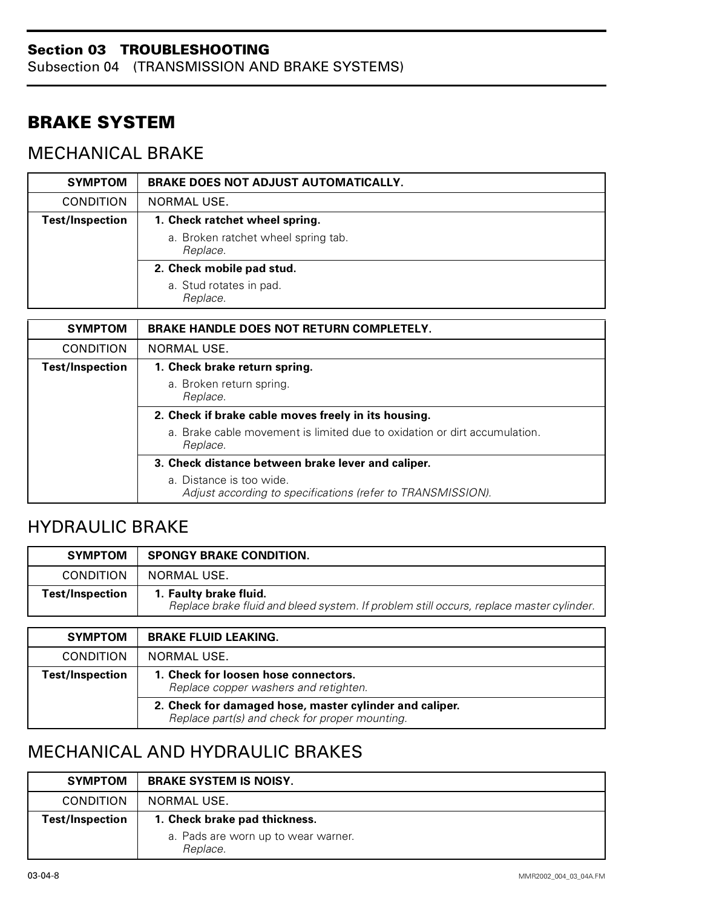Subsection 04 (TRANSMISSION AND BRAKE SYSTEMS)

## <span id="page-22-0"></span>**BRAKE SYSTEM**

## <span id="page-22-1"></span>MECHANICAL BRAKE

| <b>SYMPTOM</b>         | <b>BRAKE DOES NOT ADJUST AUTOMATICALLY.</b>     |
|------------------------|-------------------------------------------------|
| <b>CONDITION</b>       | NORMAL USE.                                     |
| <b>Test/Inspection</b> | 1. Check ratchet wheel spring.                  |
|                        | a. Broken ratchet wheel spring tab.<br>Replace. |
|                        | 2. Check mobile pad stud.                       |
|                        | a. Stud rotates in pad.<br>Replace.             |

| <b>SYMPTOM</b>         | <b>BRAKE HANDLE DOES NOT RETURN COMPLETELY.</b>                                         |
|------------------------|-----------------------------------------------------------------------------------------|
| <b>CONDITION</b>       | NORMAL USE.                                                                             |
| <b>Test/Inspection</b> | 1. Check brake return spring.                                                           |
|                        | a. Broken return spring.<br>Replace.                                                    |
|                        | 2. Check if brake cable moves freely in its housing.                                    |
|                        | a. Brake cable movement is limited due to oxidation or dirt accumulation.<br>Replace.   |
|                        | 3. Check distance between brake lever and caliper.                                      |
|                        | a. Distance is too wide.<br>Adjust according to specifications (refer to TRANSMISSION). |

# <span id="page-22-2"></span>HYDRAULIC BRAKE

| <b>SYMPTOM</b>         | <b>SPONGY BRAKE CONDITION.</b>                                                                                    |
|------------------------|-------------------------------------------------------------------------------------------------------------------|
| <b>CONDITION</b>       | NORMAL USE.                                                                                                       |
| <b>Test/Inspection</b> | 1. Faulty brake fluid.<br>Replace brake fluid and bleed system. If problem still occurs, replace master cylinder. |

| <b>SYMPTOM</b>   | <b>BRAKE FLUID LEAKING.</b>                                                                               |
|------------------|-----------------------------------------------------------------------------------------------------------|
| <b>CONDITION</b> | NORMAL USE.                                                                                               |
| Test/Inspection  | 1. Check for loosen hose connectors.<br>Replace copper washers and retighten.                             |
|                  | 2. Check for damaged hose, master cylinder and caliper.<br>Replace part(s) and check for proper mounting. |

## <span id="page-22-3"></span>MECHANICAL AND HYDRAULIC BRAKES

| <b>SYMPTOM</b>         | <b>BRAKE SYSTEM IS NOISY.</b>                   |
|------------------------|-------------------------------------------------|
| <b>CONDITION</b>       | NORMAL USE.                                     |
| <b>Test/Inspection</b> | 1. Check brake pad thickness.                   |
|                        | a. Pads are worn up to wear warner.<br>Replace. |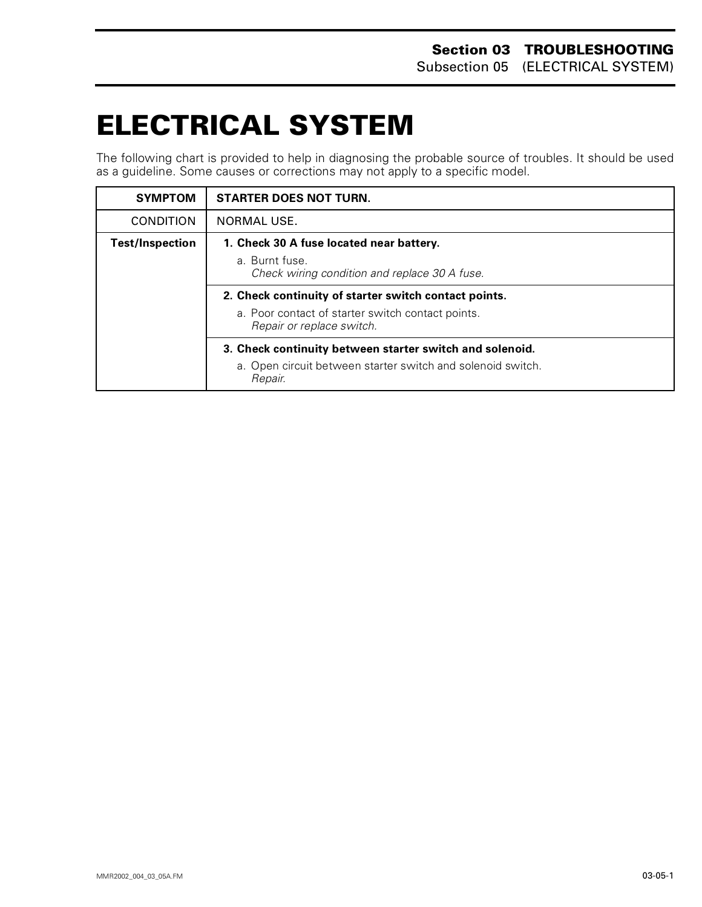# <span id="page-23-0"></span>**ELECTRICAL SYSTEM 0**

The following chart is provided to help in diagnosing the probable source of troubles. It should be used as a guideline. Some causes or corrections may not apply to a specific model.

| <b>SYMPTOM</b>         | <b>STARTER DOES NOT TURN.</b>                                                  |
|------------------------|--------------------------------------------------------------------------------|
| <b>CONDITION</b>       | NORMAL USE.                                                                    |
| <b>Test/Inspection</b> | 1. Check 30 A fuse located near battery.                                       |
|                        | a. Burnt fuse.<br>Check wiring condition and replace 30 A fuse.                |
|                        | 2. Check continuity of starter switch contact points.                          |
|                        | a. Poor contact of starter switch contact points.<br>Repair or replace switch. |
|                        | 3. Check continuity between starter switch and solenoid.                       |
|                        | a. Open circuit between starter switch and solenoid switch.<br>Repair.         |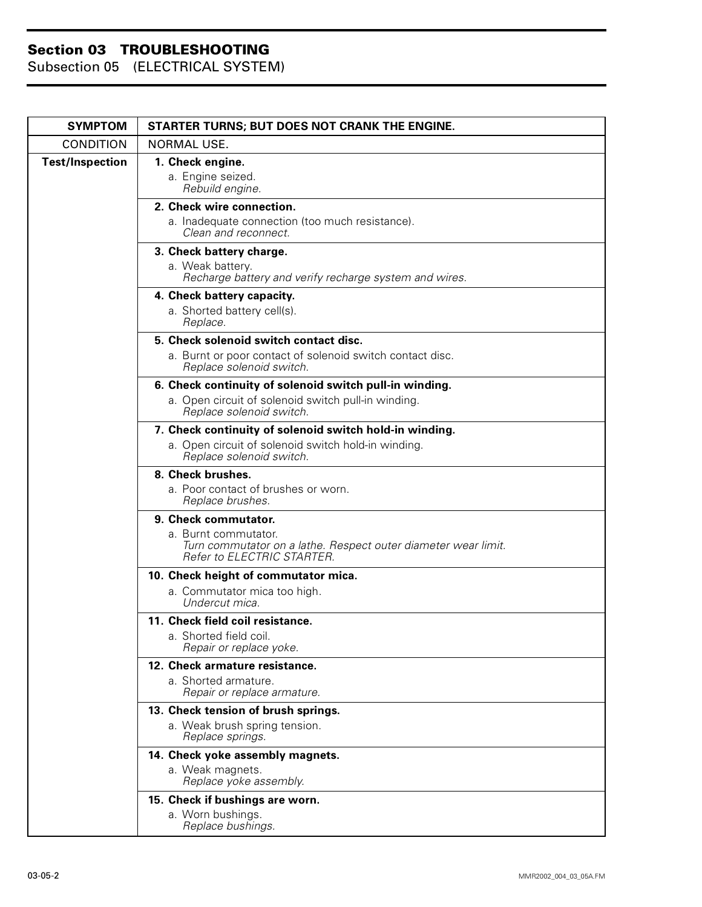| <b>SYMPTOM</b>         | STARTER TURNS; BUT DOES NOT CRANK THE ENGINE.                                                                        |
|------------------------|----------------------------------------------------------------------------------------------------------------------|
| <b>CONDITION</b>       | NORMAL USE.                                                                                                          |
| <b>Test/Inspection</b> | 1. Check engine.<br>a. Engine seized.<br>Rebuild engine.                                                             |
|                        | 2. Check wire connection.                                                                                            |
|                        | a. Inadequate connection (too much resistance).<br>Clean and reconnect.                                              |
|                        | 3. Check battery charge.<br>a. Weak battery.<br>Recharge battery and verify recharge system and wires.               |
|                        | 4. Check battery capacity.<br>a. Shorted battery cell(s).<br>Replace.                                                |
|                        | 5. Check solenoid switch contact disc.                                                                               |
|                        | a. Burnt or poor contact of solenoid switch contact disc.<br>Replace solenoid switch.                                |
|                        | 6. Check continuity of solenoid switch pull-in winding.                                                              |
|                        | a. Open circuit of solenoid switch pull-in winding.<br>Replace solenoid switch.                                      |
|                        | 7. Check continuity of solenoid switch hold-in winding.                                                              |
|                        | a. Open circuit of solenoid switch hold-in winding.<br>Replace solenoid switch.                                      |
|                        | 8. Check brushes.                                                                                                    |
|                        | a. Poor contact of brushes or worn.<br>Replace brushes.                                                              |
|                        | 9. Check commutator.                                                                                                 |
|                        | a. Burnt commutator.<br>Turn commutator on a lathe. Respect outer diameter wear limit.<br>Refer to ELECTRIC STARTER. |
|                        | 10. Check height of commutator mica.                                                                                 |
|                        | a. Commutator mica too high.<br>Undercut mica.                                                                       |
|                        | 11. Check field coil resistance.<br>a. Shorted field coil.<br>Repair or replace yoke.                                |
|                        | 12. Check armature resistance.<br>a. Shorted armature.<br>Repair or replace armature.                                |
|                        | 13. Check tension of brush springs.                                                                                  |
|                        | a. Weak brush spring tension.<br>Replace springs.                                                                    |
|                        | 14. Check yoke assembly magnets.                                                                                     |
|                        | a. Weak magnets.<br>Replace yoke assembly.                                                                           |
|                        | 15. Check if bushings are worn.<br>a. Worn bushings.<br>Replace bushings.                                            |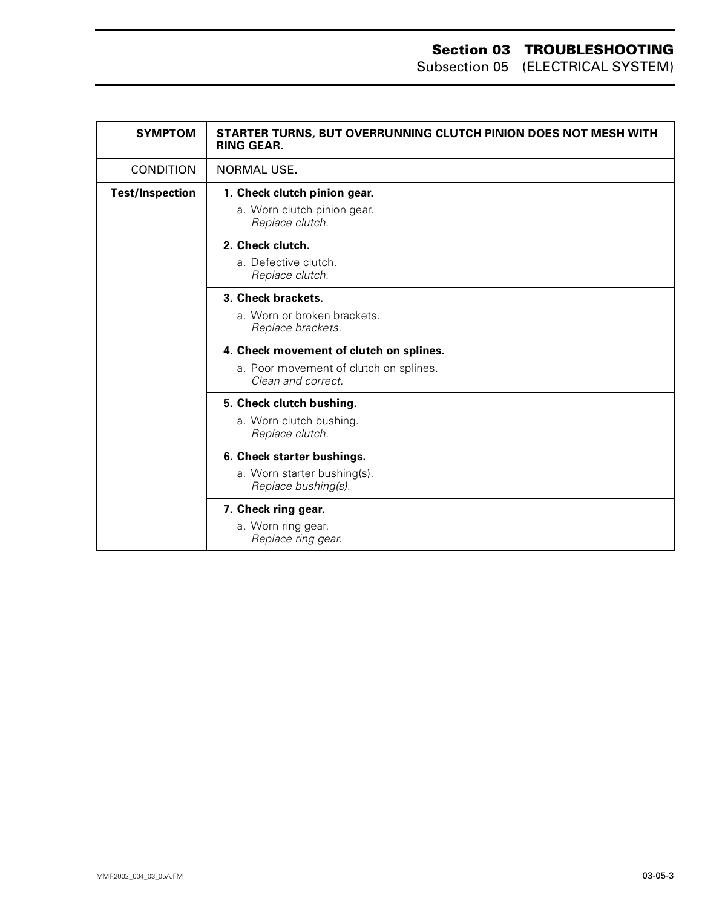| <b>SYMPTOM</b>         | STARTER TURNS, BUT OVERRUNNING CLUTCH PINION DOES NOT MESH WITH<br><b>RING GEAR.</b>                    |
|------------------------|---------------------------------------------------------------------------------------------------------|
| <b>CONDITION</b>       | <b>NORMAL USE.</b>                                                                                      |
| <b>Test/Inspection</b> | 1. Check clutch pinion gear.<br>a. Worn clutch pinion gear.<br>Replace clutch.                          |
|                        | 2. Check clutch.<br>a. Defective clutch.<br>Replace clutch.                                             |
|                        | 3. Check brackets.<br>a. Worn or broken brackets.<br>Replace brackets.                                  |
|                        | 4. Check movement of clutch on splines.<br>a. Poor movement of clutch on splines.<br>Clean and correct. |
|                        | 5. Check clutch bushing.<br>a. Worn clutch bushing.<br>Replace clutch.                                  |
|                        | 6. Check starter bushings.<br>a. Worn starter bushing(s).<br>Replace bushing(s).                        |
|                        | 7. Check ring gear.<br>a. Worn ring gear.<br>Replace ring gear.                                         |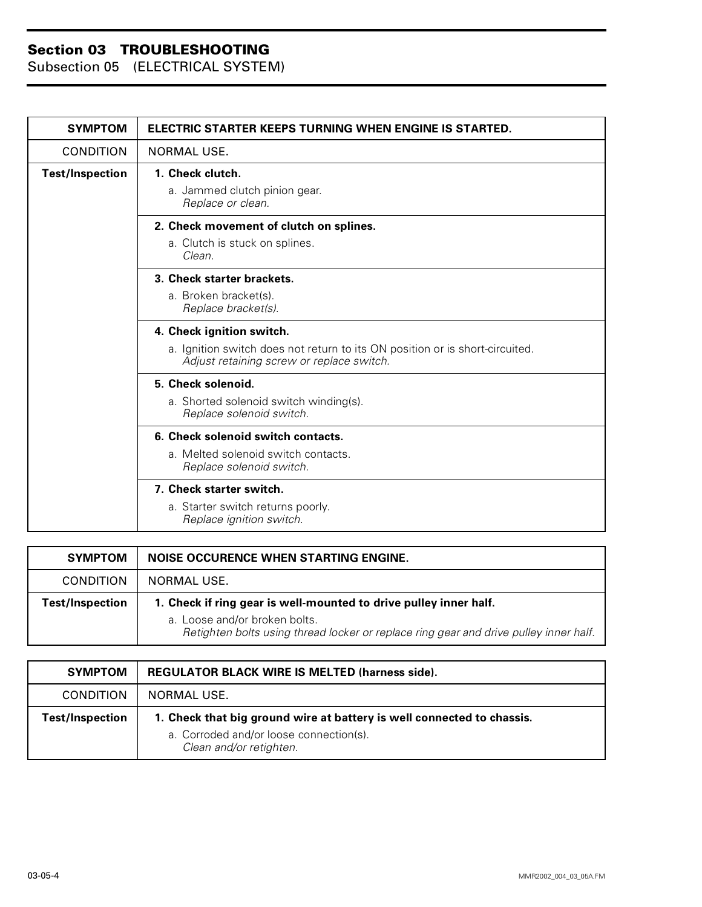| <b>SYMPTOM</b>         | ELECTRIC STARTER KEEPS TURNING WHEN ENGINE IS STARTED.                                                                    |
|------------------------|---------------------------------------------------------------------------------------------------------------------------|
| <b>CONDITION</b>       | NORMAL USE.                                                                                                               |
| <b>Test/Inspection</b> | 1. Check clutch.                                                                                                          |
|                        | a. Jammed clutch pinion gear.<br>Replace or clean.                                                                        |
|                        | 2. Check movement of clutch on splines.                                                                                   |
|                        | a. Clutch is stuck on splines.<br>Clean.                                                                                  |
|                        | 3. Check starter brackets.                                                                                                |
|                        | a. Broken bracket(s).<br>Replace bracket(s).                                                                              |
|                        | 4. Check ignition switch.                                                                                                 |
|                        | a. Ignition switch does not return to its ON position or is short-circuited.<br>Adjust retaining screw or replace switch. |
|                        | 5. Check solenoid.                                                                                                        |
|                        | a. Shorted solenoid switch winding(s).<br>Replace solenoid switch.                                                        |
|                        | 6. Check solenoid switch contacts.                                                                                        |
|                        | a. Melted solenoid switch contacts.<br>Replace solenoid switch.                                                           |
|                        | 7. Check starter switch.                                                                                                  |
|                        | a. Starter switch returns poorly.<br>Replace ignition switch.                                                             |

| <b>SYMPTOM</b>   | <b>NOISE OCCURENCE WHEN STARTING ENGINE.</b>                                                                                                                                                |
|------------------|---------------------------------------------------------------------------------------------------------------------------------------------------------------------------------------------|
| <b>CONDITION</b> | NORMAL USE.                                                                                                                                                                                 |
| Test/Inspection  | 1. Check if ring gear is well-mounted to drive pulley inner half.<br>a. Loose and/or broken bolts.<br>Retighten bolts using thread locker or replace ring gear and drive pulley inner half. |

| <b>SYMPTOM</b>         | <b>REGULATOR BLACK WIRE IS MELTED (harness side).</b>                                                                                        |
|------------------------|----------------------------------------------------------------------------------------------------------------------------------------------|
| <b>CONDITION</b>       | NORMAL USE.                                                                                                                                  |
| <b>Test/Inspection</b> | 1. Check that big ground wire at battery is well connected to chassis.<br>a. Corroded and/or loose connection(s).<br>Clean and/or retighten. |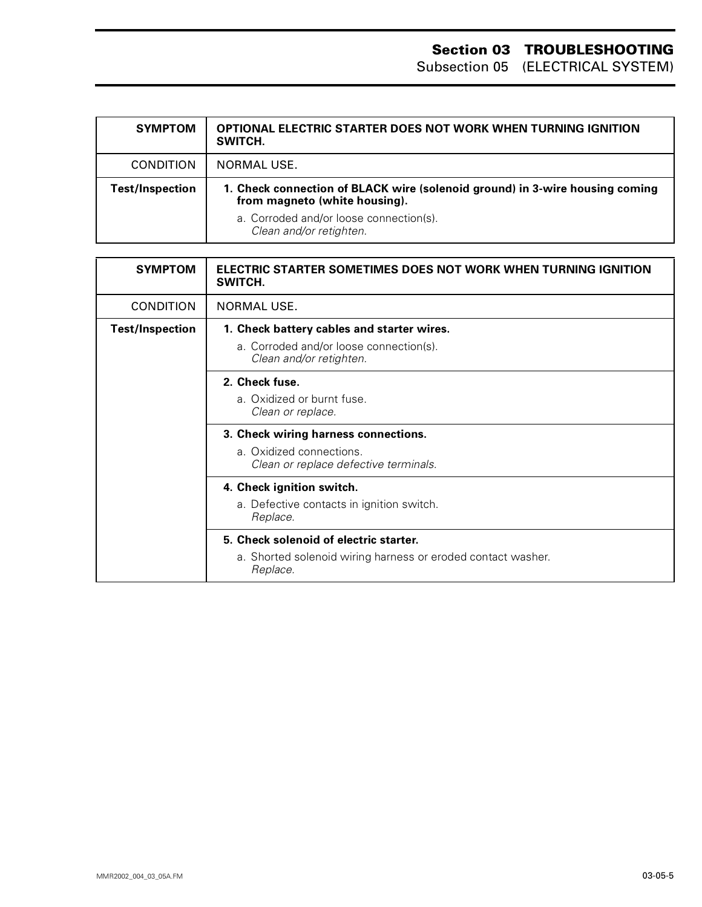| <b>SYMPTOM</b>   | OPTIONAL ELECTRIC STARTER DOES NOT WORK WHEN TURNING IGNITION<br>SWITCH.                                      |
|------------------|---------------------------------------------------------------------------------------------------------------|
| <b>CONDITION</b> | NORMAL USE.                                                                                                   |
| Test/Inspection  | 1. Check connection of BLACK wire (solenoid ground) in 3-wire housing coming<br>from magneto (white housing). |
|                  | a. Corroded and/or loose connection(s).<br>Clean and/or retighten.                                            |

| <b>SYMPTOM</b>         | ELECTRIC STARTER SOMETIMES DOES NOT WORK WHEN TURNING IGNITION<br>SWITCH.                                          |
|------------------------|--------------------------------------------------------------------------------------------------------------------|
| <b>CONDITION</b>       | NORMAL USE.                                                                                                        |
| <b>Test/Inspection</b> | 1. Check battery cables and starter wires.<br>a. Corroded and/or loose connection(s).<br>Clean and/or retighten.   |
|                        | 2. Check fuse.<br>a. Oxidized or burnt fuse.<br>Clean or replace.                                                  |
|                        | 3. Check wiring harness connections.<br>a. Oxidized connections.<br>Clean or replace defective terminals.          |
|                        | 4. Check ignition switch.<br>a. Defective contacts in ignition switch.<br>Replace.                                 |
|                        | 5. Check solenoid of electric starter.<br>a. Shorted solenoid wiring harness or eroded contact washer.<br>Replace. |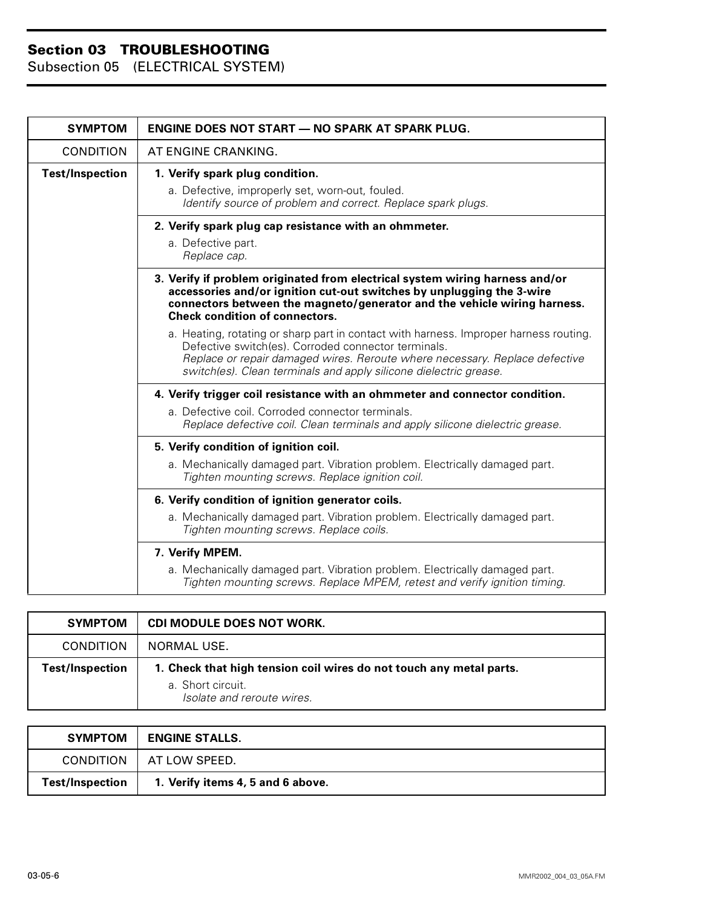| <b>SYMPTOM</b>         | <b>ENGINE DOES NOT START - NO SPARK AT SPARK PLUG.</b>                                                                                                                                                                                                                                           |
|------------------------|--------------------------------------------------------------------------------------------------------------------------------------------------------------------------------------------------------------------------------------------------------------------------------------------------|
| <b>CONDITION</b>       | AT ENGINE CRANKING.                                                                                                                                                                                                                                                                              |
| <b>Test/Inspection</b> | 1. Verify spark plug condition.<br>a. Defective, improperly set, worn-out, fouled.<br>Identify source of problem and correct. Replace spark plugs.                                                                                                                                               |
|                        | 2. Verify spark plug cap resistance with an ohmmeter.<br>a. Defective part.<br>Replace cap.                                                                                                                                                                                                      |
|                        | 3. Verify if problem originated from electrical system wiring harness and/or<br>accessories and/or ignition cut-out switches by unplugging the 3-wire<br>connectors between the magneto/generator and the vehicle wiring harness.<br><b>Check condition of connectors.</b>                       |
|                        | a. Heating, rotating or sharp part in contact with harness. Improper harness routing.<br>Defective switch(es). Corroded connector terminals.<br>Replace or repair damaged wires. Reroute where necessary. Replace defective<br>switch(es). Clean terminals and apply silicone dielectric grease. |
|                        | 4. Verify trigger coil resistance with an ohmmeter and connector condition.                                                                                                                                                                                                                      |
|                        | a. Defective coil. Corroded connector terminals.<br>Replace defective coil. Clean terminals and apply silicone dielectric grease.                                                                                                                                                                |
|                        | 5. Verify condition of ignition coil.                                                                                                                                                                                                                                                            |
|                        | a. Mechanically damaged part. Vibration problem. Electrically damaged part.<br>Tighten mounting screws. Replace ignition coil.                                                                                                                                                                   |
|                        | 6. Verify condition of ignition generator coils.                                                                                                                                                                                                                                                 |
|                        | a. Mechanically damaged part. Vibration problem. Electrically damaged part.<br>Tighten mounting screws. Replace coils.                                                                                                                                                                           |
|                        | 7. Verify MPEM.                                                                                                                                                                                                                                                                                  |
|                        | a. Mechanically damaged part. Vibration problem. Electrically damaged part.<br>Tighten mounting screws. Replace MPEM, retest and verify ignition timing.                                                                                                                                         |

| <b>SYMPTOM</b>         | CDI MODULE DOES NOT WORK.                                           |
|------------------------|---------------------------------------------------------------------|
| <b>CONDITION</b>       | NORMAL USE.                                                         |
| <b>Test/Inspection</b> | 1. Check that high tension coil wires do not touch any metal parts. |
|                        | a. Short circuit.<br>Isolate and reroute wires.                     |

| <b>SYMPTOM</b>         | <b>ENGINE STALLS.</b>             |
|------------------------|-----------------------------------|
| CONDITION              | AT LOW SPEED.                     |
| <b>Test/Inspection</b> | 1. Verify items 4, 5 and 6 above. |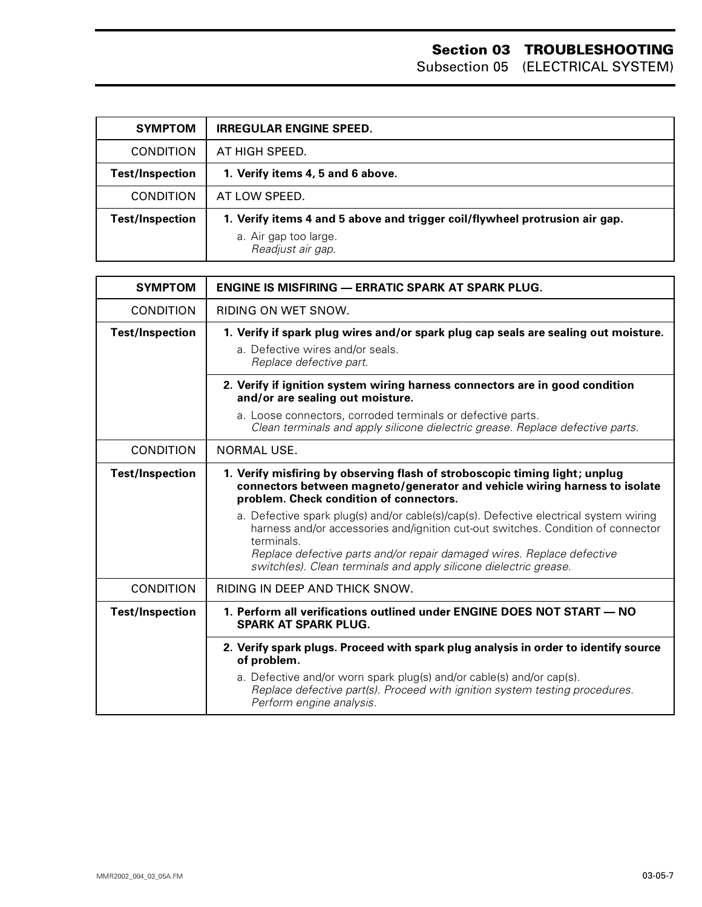| <b>SYMPTOM</b>         | <b>IRREGULAR ENGINE SPEED.</b>                                                                                            |
|------------------------|---------------------------------------------------------------------------------------------------------------------------|
| <b>CONDITION</b>       | AT HIGH SPEED.                                                                                                            |
| <b>Test/Inspection</b> | 1. Verify items 4, 5 and 6 above.                                                                                         |
| <b>CONDITION</b>       | AT LOW SPEED.                                                                                                             |
| <b>Test/Inspection</b> | 1. Verify items 4 and 5 above and trigger coil/flywheel protrusion air gap.<br>a. Air gap too large.<br>Readjust air gap. |

| <b>SYMPTOM</b>         | <b>ENGINE IS MISFIRING — ERRATIC SPARK AT SPARK PLUG.</b>                                                                                                                                                                                                                                     |
|------------------------|-----------------------------------------------------------------------------------------------------------------------------------------------------------------------------------------------------------------------------------------------------------------------------------------------|
| <b>CONDITION</b>       | RIDING ON WET SNOW.                                                                                                                                                                                                                                                                           |
| <b>Test/Inspection</b> | 1. Verify if spark plug wires and/or spark plug cap seals are sealing out moisture.<br>a. Defective wires and/or seals.<br>Replace defective part.                                                                                                                                            |
|                        | 2. Verify if ignition system wiring harness connectors are in good condition<br>and/or are sealing out moisture.                                                                                                                                                                              |
|                        | a. Loose connectors, corroded terminals or defective parts.<br>Clean terminals and apply silicone dielectric grease. Replace defective parts.                                                                                                                                                 |
| <b>CONDITION</b>       | <b>NORMAL USE.</b>                                                                                                                                                                                                                                                                            |
| <b>Test/Inspection</b> | 1. Verify misfiring by observing flash of stroboscopic timing light; unplug<br>connectors between magneto/generator and vehicle wiring harness to isolate<br>problem. Check condition of connectors.<br>a. Defective spark plug(s) and/or cable(s)/cap(s). Defective electrical system wiring |
|                        | harness and/or accessories and/ignition cut-out switches. Condition of connector<br>terminals.<br>Replace defective parts and/or repair damaged wires. Replace defective<br>switch(es). Clean terminals and apply silicone dielectric grease.                                                 |
| <b>CONDITION</b>       | RIDING IN DEEP AND THICK SNOW.                                                                                                                                                                                                                                                                |
| <b>Test/Inspection</b> | 1. Perform all verifications outlined under ENGINE DOES NOT START - NO<br><b>SPARK AT SPARK PLUG.</b>                                                                                                                                                                                         |
|                        | 2. Verify spark plugs. Proceed with spark plug analysis in order to identify source<br>of problem.                                                                                                                                                                                            |
|                        | a. Defective and/or worn spark plug(s) and/or cable(s) and/or cap(s).<br>Replace defective part(s). Proceed with ignition system testing procedures.<br>Perform engine analysis.                                                                                                              |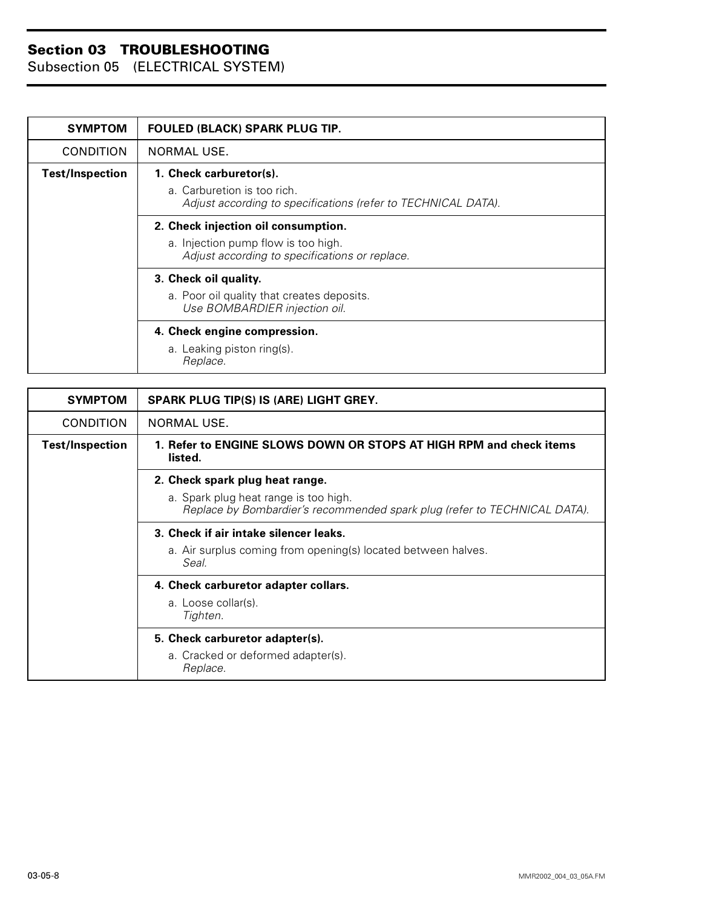| <b>SYMPTOM</b>         | FOULED (BLACK) SPARK PLUG TIP.                                                                                               |
|------------------------|------------------------------------------------------------------------------------------------------------------------------|
| <b>CONDITION</b>       | NORMAL USE.                                                                                                                  |
| <b>Test/Inspection</b> | 1. Check carburetor(s).<br>a. Carburetion is too rich.<br>Adjust according to specifications (refer to TECHNICAL DATA).      |
|                        | 2. Check injection oil consumption.<br>a. Injection pump flow is too high.<br>Adjust according to specifications or replace. |
|                        | 3. Check oil quality.<br>a. Poor oil quality that creates deposits.<br>Use BOMBARDIER injection oil.                         |
|                        | 4. Check engine compression.<br>a. Leaking piston ring(s).<br>Replace.                                                       |

| <b>SYMPTOM</b>         | SPARK PLUG TIP(S) IS (ARE) LIGHT GREY.                                                                             |
|------------------------|--------------------------------------------------------------------------------------------------------------------|
| <b>CONDITION</b>       | NORMAL USE.                                                                                                        |
| <b>Test/Inspection</b> | 1. Refer to ENGINE SLOWS DOWN OR STOPS AT HIGH RPM and check items<br>listed.                                      |
|                        | 2. Check spark plug heat range.                                                                                    |
|                        | a. Spark plug heat range is too high.<br>Replace by Bombardier's recommended spark plug (refer to TECHNICAL DATA). |
|                        | 3. Check if air intake silencer leaks.                                                                             |
|                        | a. Air surplus coming from opening(s) located between halves.<br>Seal.                                             |
|                        | 4. Check carburetor adapter collars.                                                                               |
|                        | a. Loose collar(s).<br>Tighten.                                                                                    |
|                        | 5. Check carburetor adapter(s).                                                                                    |
|                        | a. Cracked or deformed adapter(s).<br>Replace.                                                                     |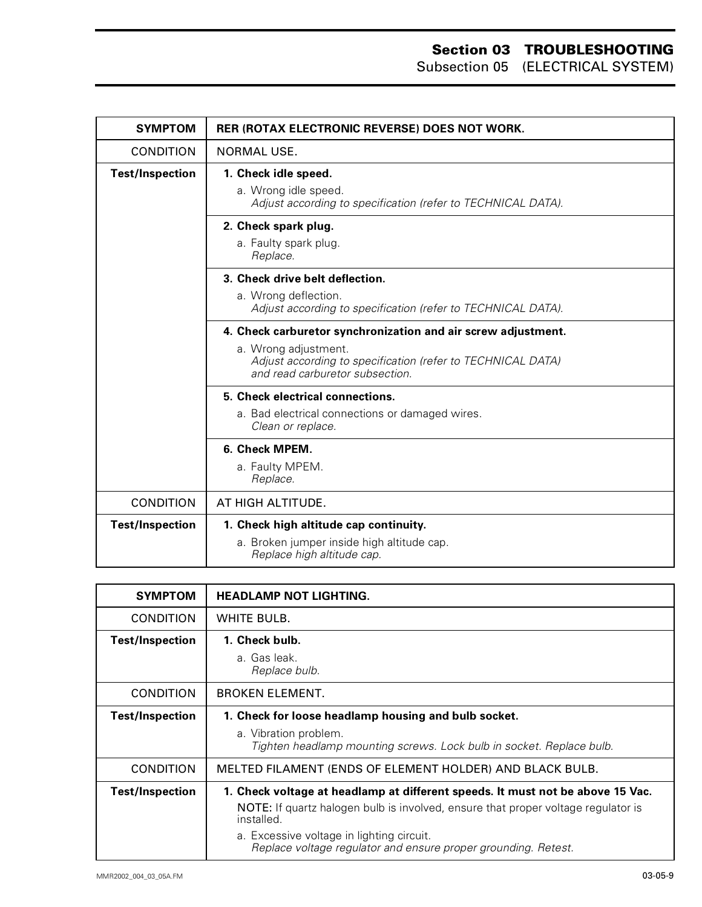| <b>SYMPTOM</b>         | <b>RER (ROTAX ELECTRONIC REVERSE) DOES NOT WORK.</b>                                                                                                                                    |
|------------------------|-----------------------------------------------------------------------------------------------------------------------------------------------------------------------------------------|
| <b>CONDITION</b>       | NORMAL USE.                                                                                                                                                                             |
| <b>Test/Inspection</b> | 1. Check idle speed.<br>a. Wrong idle speed.<br>Adjust according to specification (refer to TECHNICAL DATA).                                                                            |
|                        | 2. Check spark plug.<br>a. Faulty spark plug.<br>Replace.                                                                                                                               |
|                        | 3. Check drive belt deflection.<br>a. Wrong deflection.<br>Adjust according to specification (refer to TECHNICAL DATA).                                                                 |
|                        | 4. Check carburetor synchronization and air screw adjustment.<br>a. Wrong adjustment.<br>Adjust according to specification (refer to TECHNICAL DATA)<br>and read carburetor subsection. |
|                        | 5. Check electrical connections.<br>a. Bad electrical connections or damaged wires.<br>Clean or replace.                                                                                |
|                        | 6. Check MPEM.<br>a. Faulty MPEM.<br>Replace.                                                                                                                                           |
| <b>CONDITION</b>       | AT HIGH ALTITUDE.                                                                                                                                                                       |
| <b>Test/Inspection</b> | 1. Check high altitude cap continuity.<br>a. Broken jumper inside high altitude cap.<br>Replace high altitude cap.                                                                      |

| <b>SYMPTOM</b>         | <b>HEADLAMP NOT LIGHTING.</b>                                                                               |
|------------------------|-------------------------------------------------------------------------------------------------------------|
| <b>CONDITION</b>       | WHITE BULB.                                                                                                 |
| <b>Test/Inspection</b> | 1. Check bulb.<br>a. Gas leak.                                                                              |
|                        | Replace bulb.                                                                                               |
| <b>CONDITION</b>       | <b>BROKEN ELEMENT.</b>                                                                                      |
| <b>Test/Inspection</b> | 1. Check for loose headlamp housing and bulb socket.                                                        |
|                        | a. Vibration problem.<br>Tighten headlamp mounting screws. Lock bulb in socket. Replace bulb.               |
| <b>CONDITION</b>       | MELTED FILAMENT (ENDS OF ELEMENT HOLDER) AND BLACK BULB.                                                    |
| <b>Test/Inspection</b> | 1. Check voltage at headlamp at different speeds. It must not be above 15 Vac.                              |
|                        | <b>NOTE:</b> If quartz halogen bulb is involved, ensure that proper voltage regulator is<br>installed.      |
|                        | a. Excessive voltage in lighting circuit.<br>Replace voltage regulator and ensure proper grounding. Retest. |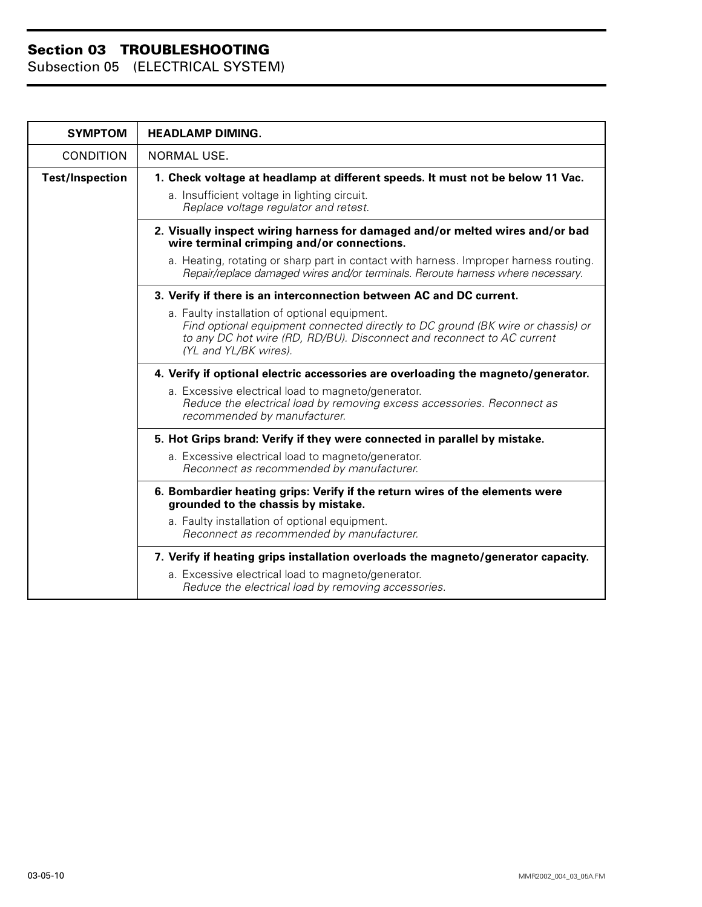| <b>SYMPTOM</b>         | <b>HEADLAMP DIMING.</b>                                                                                                                                                                                                             |
|------------------------|-------------------------------------------------------------------------------------------------------------------------------------------------------------------------------------------------------------------------------------|
| <b>CONDITION</b>       | NORMAL USE.                                                                                                                                                                                                                         |
| <b>Test/Inspection</b> | 1. Check voltage at headlamp at different speeds. It must not be below 11 Vac.<br>a. Insufficient voltage in lighting circuit.<br>Replace voltage regulator and retest.                                                             |
|                        | 2. Visually inspect wiring harness for damaged and/or melted wires and/or bad<br>wire terminal crimping and/or connections.                                                                                                         |
|                        | a. Heating, rotating or sharp part in contact with harness. Improper harness routing.<br>Repair/replace damaged wires and/or terminals. Reroute harness where necessary.                                                            |
|                        | 3. Verify if there is an interconnection between AC and DC current.                                                                                                                                                                 |
|                        | a. Faulty installation of optional equipment.<br>Find optional equipment connected directly to DC ground (BK wire or chassis) or<br>to any DC hot wire (RD, RD/BU). Disconnect and reconnect to AC current<br>(YL and YL/BK wires). |
|                        | 4. Verify if optional electric accessories are overloading the magneto/generator.                                                                                                                                                   |
|                        | a. Excessive electrical load to magneto/generator.<br>Reduce the electrical load by removing excess accessories. Reconnect as<br>recommended by manufacturer.                                                                       |
|                        | 5. Hot Grips brand: Verify if they were connected in parallel by mistake.                                                                                                                                                           |
|                        | a. Excessive electrical load to magneto/generator.<br>Reconnect as recommended by manufacturer.                                                                                                                                     |
|                        | 6. Bombardier heating grips: Verify if the return wires of the elements were<br>grounded to the chassis by mistake.                                                                                                                 |
|                        | a. Faulty installation of optional equipment.<br>Reconnect as recommended by manufacturer.                                                                                                                                          |
|                        | 7. Verify if heating grips installation overloads the magneto/generator capacity.                                                                                                                                                   |
|                        | a. Excessive electrical load to magneto/generator.<br>Reduce the electrical load by removing accessories.                                                                                                                           |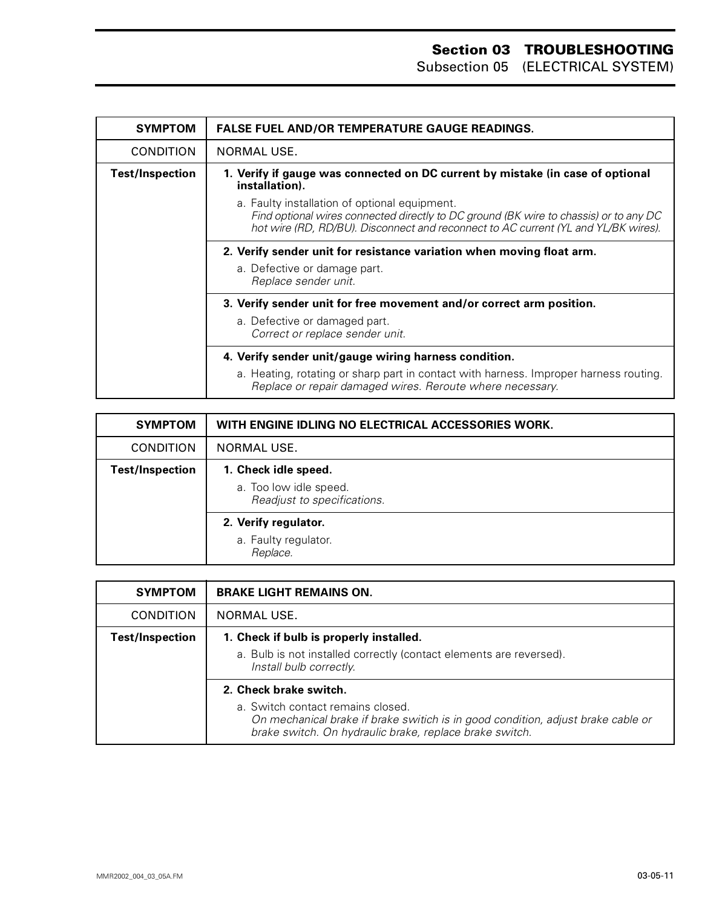| <b>SYMPTOM</b>         | <b>FALSE FUEL AND/OR TEMPERATURE GAUGE READINGS.</b>                                                                                                                                                                         |
|------------------------|------------------------------------------------------------------------------------------------------------------------------------------------------------------------------------------------------------------------------|
| <b>CONDITION</b>       | NORMAL USE.                                                                                                                                                                                                                  |
| <b>Test/Inspection</b> | 1. Verify if gauge was connected on DC current by mistake (in case of optional<br>installation).                                                                                                                             |
|                        | a. Faulty installation of optional equipment.<br>Find optional wires connected directly to DC ground (BK wire to chassis) or to any DC<br>hot wire (RD, RD/BU). Disconnect and reconnect to AC current (YL and YL/BK wires). |
|                        | 2. Verify sender unit for resistance variation when moving float arm.<br>a. Defective or damage part.<br>Replace sender unit.                                                                                                |
|                        | 3. Verify sender unit for free movement and/or correct arm position.<br>a. Defective or damaged part.<br>Correct or replace sender unit.                                                                                     |
|                        | 4. Verify sender unit/gauge wiring harness condition.<br>a. Heating, rotating or sharp part in contact with harness. Improper harness routing.<br>Replace or repair damaged wires. Reroute where necessary.                  |

| <b>SYMPTOM</b>         | WITH ENGINE IDLING NO ELECTRICAL ACCESSORIES WORK.                            |
|------------------------|-------------------------------------------------------------------------------|
| <b>CONDITION</b>       | NORMAL USE.                                                                   |
| <b>Test/Inspection</b> | 1. Check idle speed.<br>a. Too low idle speed.<br>Readjust to specifications. |
|                        | 2. Verify regulator.<br>a. Faulty regulator.<br>Replace.                      |

| <b>SYMPTOM</b>         | <b>BRAKE LIGHT REMAINS ON.</b>                                                                                                                                                   |
|------------------------|----------------------------------------------------------------------------------------------------------------------------------------------------------------------------------|
| <b>CONDITION</b>       | NORMAL USE.                                                                                                                                                                      |
| <b>Test/Inspection</b> | 1. Check if bulb is properly installed.                                                                                                                                          |
|                        | a. Bulb is not installed correctly (contact elements are reversed).<br>Install bulb correctly.                                                                                   |
|                        | 2. Check brake switch.                                                                                                                                                           |
|                        | a. Switch contact remains closed.<br>On mechanical brake if brake switich is in good condition, adjust brake cable or<br>brake switch. On hydraulic brake, replace brake switch. |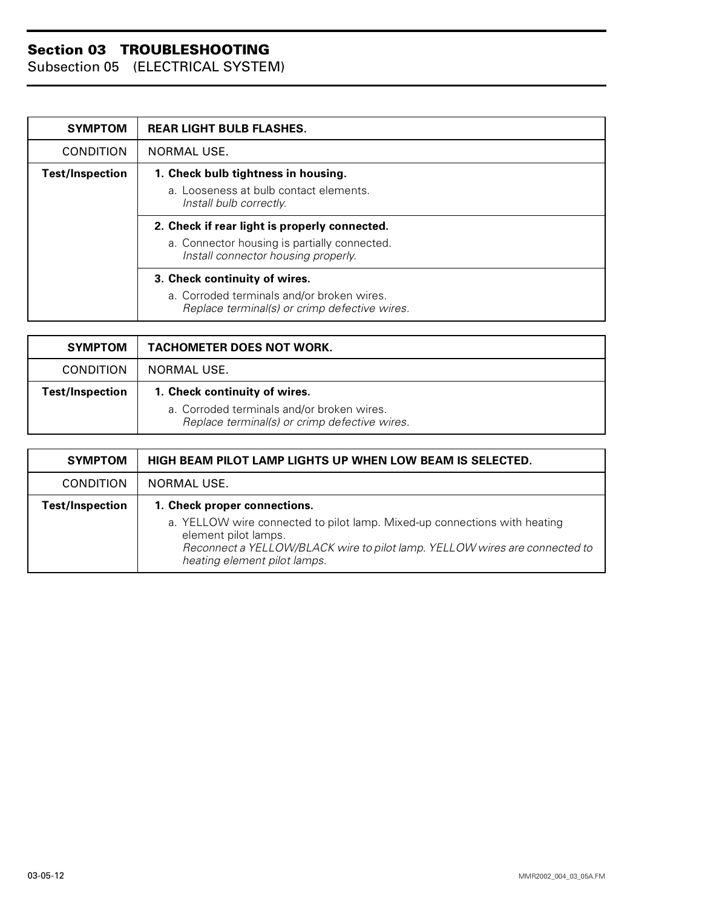| <b>SYMPTOM</b>         | <b>REAR LIGHT BULB FLASHES.</b>                                                             |
|------------------------|---------------------------------------------------------------------------------------------|
| <b>CONDITION</b>       | NORMAL USE.                                                                                 |
| <b>Test/Inspection</b> | 1. Check bulb tightness in housing.                                                         |
|                        | a. Looseness at bulb contact elements.<br>Install bulb correctly.                           |
|                        | 2. Check if rear light is properly connected.                                               |
|                        | a. Connector housing is partially connected.<br>Install connector housing properly.         |
|                        | 3. Check continuity of wires.                                                               |
|                        | a. Corroded terminals and/or broken wires.<br>Replace terminal(s) or crimp defective wires. |

| <b>SYMPTOM</b>         | <b>TACHOMETER DOES NOT WORK.</b>                                                                                             |
|------------------------|------------------------------------------------------------------------------------------------------------------------------|
| <b>CONDITION</b>       | NORMAL USE.                                                                                                                  |
| <b>Test/Inspection</b> | 1. Check continuity of wires.<br>a. Corroded terminals and/or broken wires.<br>Replace terminal(s) or crimp defective wires. |

| <b>SYMPTOM</b>         | <b>HIGH BEAM PILOT LAMP LIGHTS UP WHEN LOW BEAM IS SELECTED.</b>                                                                                                                                                |
|------------------------|-----------------------------------------------------------------------------------------------------------------------------------------------------------------------------------------------------------------|
| <b>CONDITION</b>       | NORMAL USE.                                                                                                                                                                                                     |
| <b>Test/Inspection</b> | 1. Check proper connections.                                                                                                                                                                                    |
|                        | a. YELLOW wire connected to pilot lamp. Mixed-up connections with heating<br>element pilot lamps.<br>Reconnect a YELLOW/BLACK wire to pilot lamp. YELLOW wires are connected to<br>heating element pilot lamps. |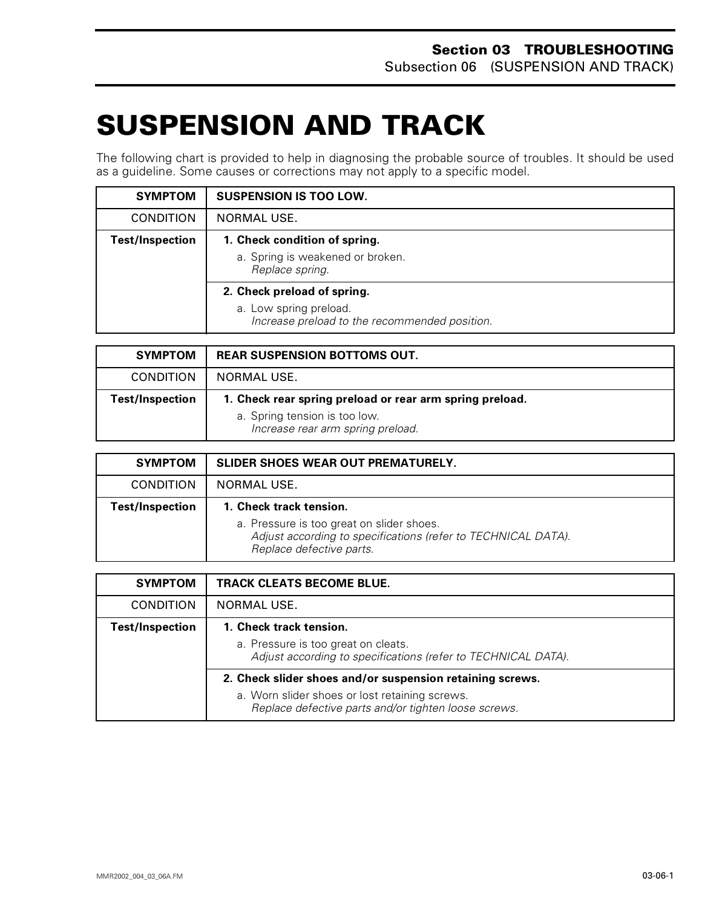# <span id="page-35-0"></span>**SUSPENSION AND TRACK 0**

The following chart is provided to help in diagnosing the probable source of troubles. It should be used as a guideline. Some causes or corrections may not apply to a specific model.

| <b>SYMPTOM</b>         | <b>SUSPENSION IS TOO LOW.</b>                                                                          |
|------------------------|--------------------------------------------------------------------------------------------------------|
| <b>CONDITION</b>       | <b>NORMAL USE.</b>                                                                                     |
| <b>Test/Inspection</b> | 1. Check condition of spring.<br>a. Spring is weakened or broken.<br>Replace spring.                   |
|                        | 2. Check preload of spring.<br>a. Low spring preload.<br>Increase preload to the recommended position. |

| <b>SYMPTOM</b>         | <b>REAR SUSPENSION BOTTOMS OUT.</b>                                                                                            |
|------------------------|--------------------------------------------------------------------------------------------------------------------------------|
| <b>CONDITION</b>       | NORMAL USE.                                                                                                                    |
| <b>Test/Inspection</b> | 1. Check rear spring preload or rear arm spring preload.<br>a. Spring tension is too low.<br>Increase rear arm spring preload. |

| <b>SYMPTOM</b>         | <b>SLIDER SHOES WEAR OUT PREMATURELY.</b>                                                                                                                         |
|------------------------|-------------------------------------------------------------------------------------------------------------------------------------------------------------------|
| <b>CONDITION</b>       | NORMAL USE.                                                                                                                                                       |
| <b>Test/Inspection</b> | 1. Check track tension.<br>a. Pressure is too great on slider shoes.<br>Adjust according to specifications (refer to TECHNICAL DATA).<br>Replace defective parts. |

| <b>SYMPTOM</b>         | <b>TRACK CLEATS BECOME BLUE.</b>                                                                       |
|------------------------|--------------------------------------------------------------------------------------------------------|
| <b>CONDITION</b>       | <b>NORMAL USE.</b>                                                                                     |
| <b>Test/Inspection</b> | 1. Check track tension.                                                                                |
|                        | a. Pressure is too great on cleats.<br>Adjust according to specifications (refer to TECHNICAL DATA).   |
|                        | 2. Check slider shoes and/or suspension retaining screws.                                              |
|                        | a. Worn slider shoes or lost retaining screws.<br>Replace defective parts and/or tighten loose screws. |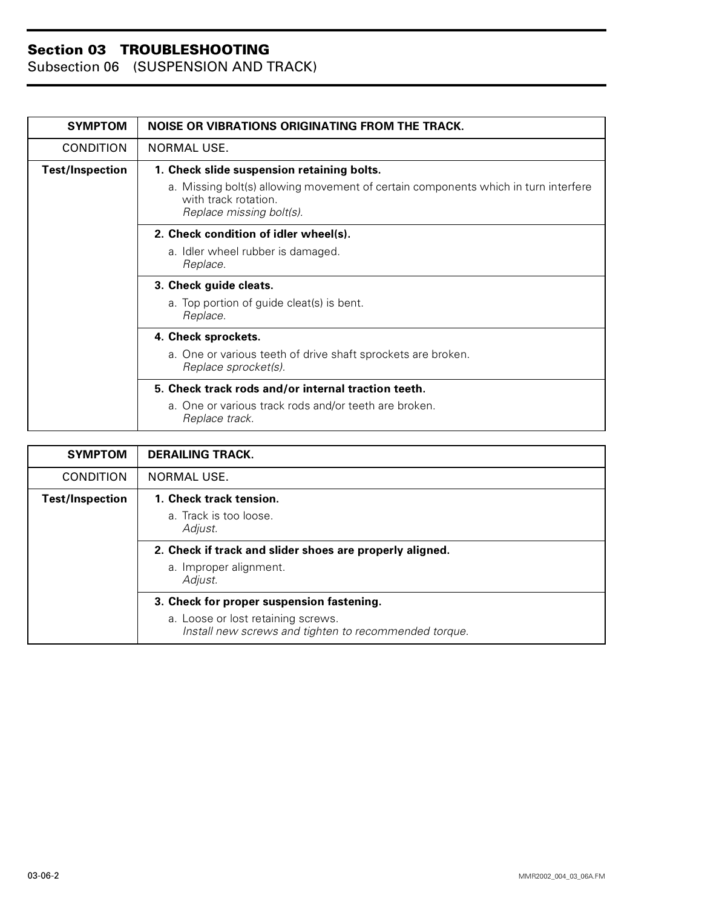Subsection 06 (SUSPENSION AND TRACK)

| <b>SYMPTOM</b>         | <b>NOISE OR VIBRATIONS ORIGINATING FROM THE TRACK.</b>                                                                                 |
|------------------------|----------------------------------------------------------------------------------------------------------------------------------------|
| <b>CONDITION</b>       | <b>NORMAL USE.</b>                                                                                                                     |
| <b>Test/Inspection</b> | 1. Check slide suspension retaining bolts.                                                                                             |
|                        | a. Missing bolt(s) allowing movement of certain components which in turn interfere<br>with track rotation.<br>Replace missing bolt(s). |
|                        | 2. Check condition of idler wheel(s).                                                                                                  |
|                        | a. Idler wheel rubber is damaged.<br>Replace.                                                                                          |
|                        | 3. Check guide cleats.                                                                                                                 |
|                        | a. Top portion of guide cleat(s) is bent.<br>Replace.                                                                                  |
|                        | 4. Check sprockets.                                                                                                                    |
|                        | a. One or various teeth of drive shaft sprockets are broken.<br>Replace sprocket(s).                                                   |
|                        | 5. Check track rods and/or internal traction teeth.                                                                                    |
|                        | a. One or various track rods and/or teeth are broken.<br>Replace track.                                                                |

| <b>SYMPTOM</b>         | <b>DERAILING TRACK.</b>                                                                     |
|------------------------|---------------------------------------------------------------------------------------------|
| <b>CONDITION</b>       | <b>NORMAL USE.</b>                                                                          |
| <b>Test/Inspection</b> | 1. Check track tension.                                                                     |
|                        | a. Track is too loose.<br>Adjust.                                                           |
|                        | 2. Check if track and slider shoes are properly aligned.                                    |
|                        | a. Improper alignment.<br>Adjust.                                                           |
|                        | 3. Check for proper suspension fastening.                                                   |
|                        | a. Loose or lost retaining screws.<br>Install new screws and tighten to recommended torque. |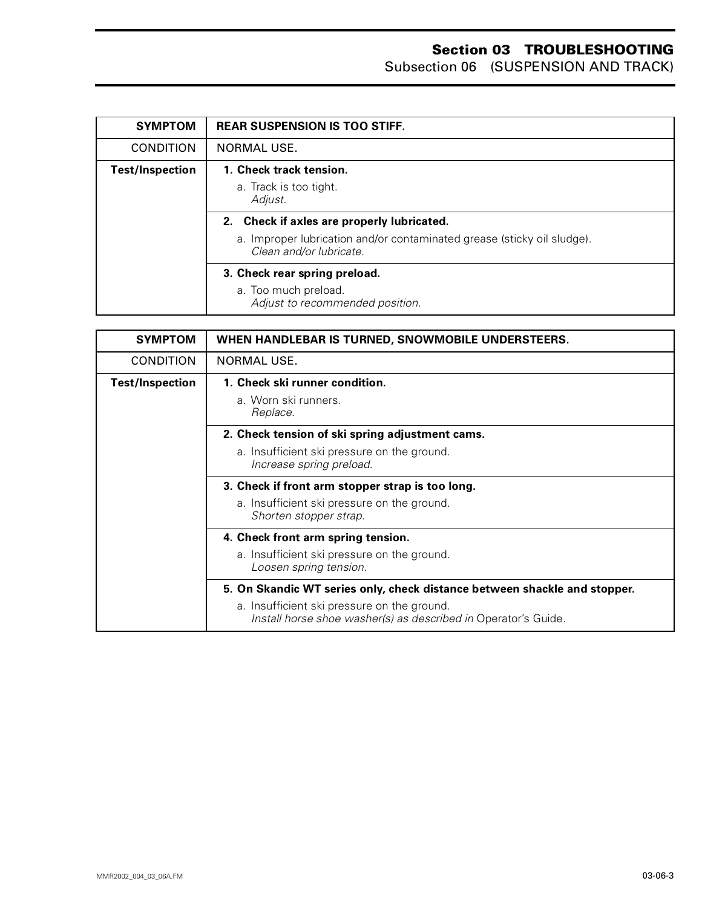Subsection 06 (SUSPENSION AND TRACK)

| <b>SYMPTOM</b>         | <b>REAR SUSPENSION IS TOO STIFF.</b>                                                                                                             |
|------------------------|--------------------------------------------------------------------------------------------------------------------------------------------------|
| <b>CONDITION</b>       | NORMAL USE.                                                                                                                                      |
| <b>Test/Inspection</b> | 1. Check track tension.<br>a. Track is too tight.<br>Adjust.                                                                                     |
|                        | 2. Check if axles are properly lubricated.<br>a. Improper lubrication and/or contaminated grease (sticky oil sludge).<br>Clean and/or lubricate. |
|                        | 3. Check rear spring preload.<br>a. Too much preload.<br>Adjust to recommended position.                                                         |

| <b>SYMPTOM</b>         | WHEN HANDLEBAR IS TURNED, SNOWMOBILE UNDERSTEERS.                                                             |
|------------------------|---------------------------------------------------------------------------------------------------------------|
| <b>CONDITION</b>       | NORMAL USE.                                                                                                   |
| <b>Test/Inspection</b> | 1. Check ski runner condition.<br>a. Worn ski runners.                                                        |
|                        | Replace.                                                                                                      |
|                        | 2. Check tension of ski spring adjustment cams.                                                               |
|                        | a. Insufficient ski pressure on the ground.<br>Increase spring preload.                                       |
|                        | 3. Check if front arm stopper strap is too long.                                                              |
|                        | a. Insufficient ski pressure on the ground.<br>Shorten stopper strap.                                         |
|                        | 4. Check front arm spring tension.                                                                            |
|                        | a. Insufficient ski pressure on the ground.<br>Loosen spring tension.                                         |
|                        | 5. On Skandic WT series only, check distance between shackle and stopper.                                     |
|                        | a. Insufficient ski pressure on the ground.<br>Install horse shoe washer(s) as described in Operator's Guide. |